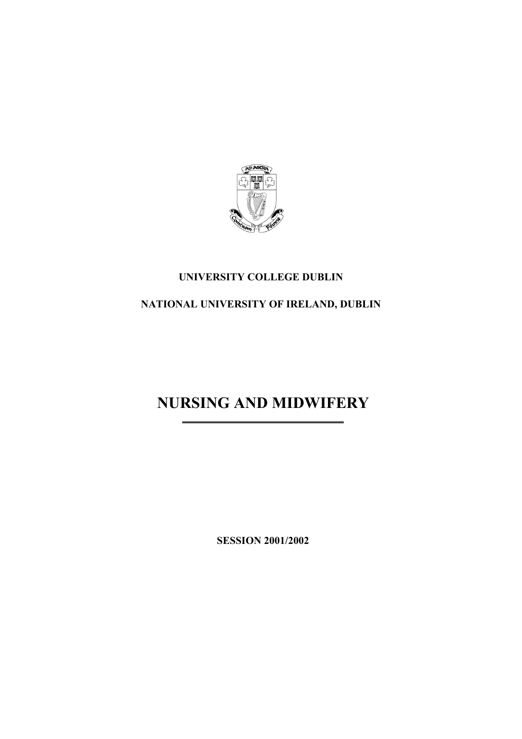

## **UNIVERSITY COLLEGE DUBLIN**

## **NATIONAL UNIVERSITY OF IRELAND, DUBLIN**

# **NURSING AND MIDWIFERY**

**SESSION 2001/2002**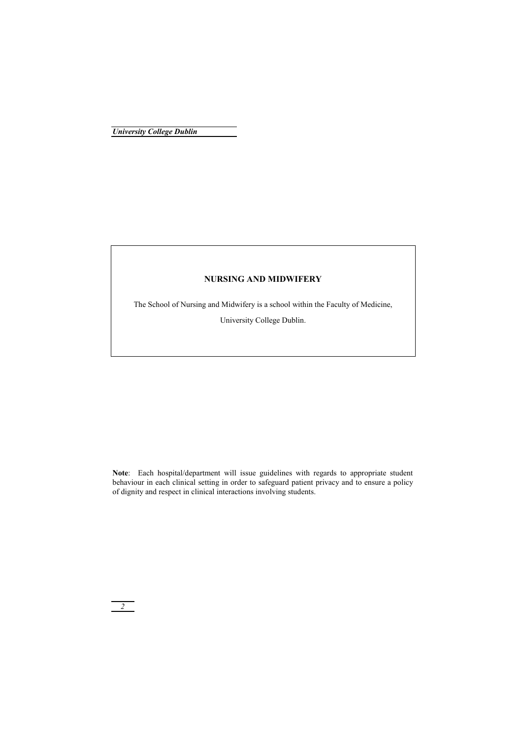### **NURSING AND MIDWIFERY**

The School of Nursing and Midwifery is a school within the Faculty of Medicine,

University College Dublin.

**Note**: Each hospital/department will issue guidelines with regards to appropriate student behaviour in each clinical setting in order to safeguard patient privacy and to ensure a policy of dignity and respect in clinical interactions involving students.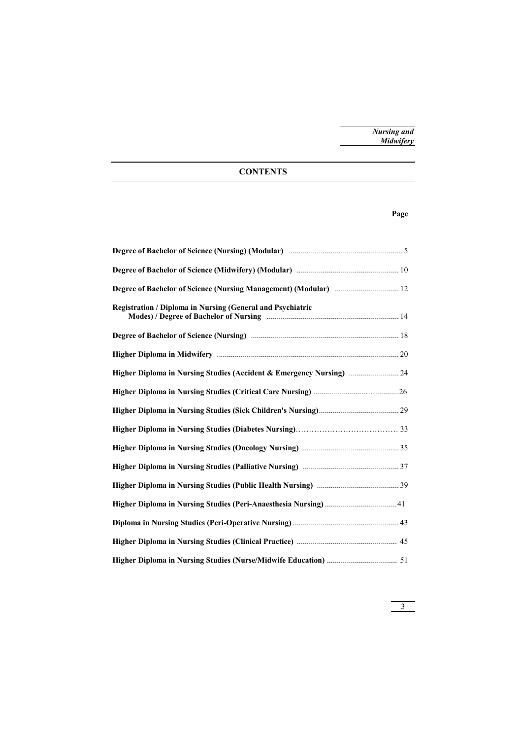### **CONTENTS**

### **Page**

| Degree of Bachelor of Science (Nursing Management) (Modular)  12     |  |
|----------------------------------------------------------------------|--|
| <b>Registration / Diploma in Nursing (General and Psychiatric</b>    |  |
|                                                                      |  |
|                                                                      |  |
| Higher Diploma in Nursing Studies (Accident & Emergency Nursing)  24 |  |
|                                                                      |  |
|                                                                      |  |
|                                                                      |  |
|                                                                      |  |
|                                                                      |  |
|                                                                      |  |
|                                                                      |  |
|                                                                      |  |
|                                                                      |  |
|                                                                      |  |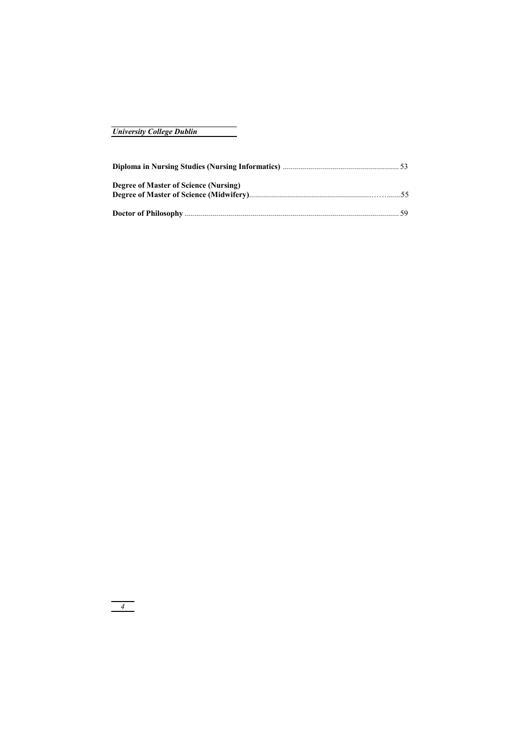| <b>University College Dublin</b> |  |  |
|----------------------------------|--|--|
|----------------------------------|--|--|

| Degree of Master of Science (Nursing) |  |
|---------------------------------------|--|
|                                       |  |
|                                       |  |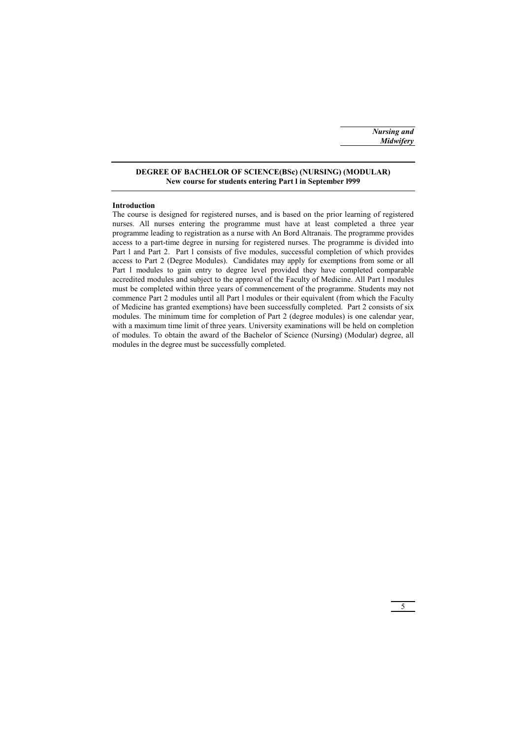### **DEGREE OF BACHELOR OF SCIENCE(BSc) (NURSING) (MODULAR) New course for students entering Part l in September l999**

#### **Introduction**

The course is designed for registered nurses, and is based on the prior learning of registered nurses. All nurses entering the programme must have at least completed a three year programme leading to registration as a nurse with An Bord Altranais. The programme provides access to a part-time degree in nursing for registered nurses. The programme is divided into Part l and Part 2. Part l consists of five modules, successful completion of which provides access to Part 2 (Degree Modules). Candidates may apply for exemptions from some or all Part l modules to gain entry to degree level provided they have completed comparable accredited modules and subject to the approval of the Faculty of Medicine. All Part l modules must be completed within three years of commencement of the programme. Students may not commence Part 2 modules until all Part l modules or their equivalent (from which the Faculty of Medicine has granted exemptions) have been successfully completed. Part 2 consists of six modules. The minimum time for completion of Part 2 (degree modules) is one calendar year, with a maximum time limit of three years. University examinations will be held on completion of modules. To obtain the award of the Bachelor of Science (Nursing) (Modular) degree, all modules in the degree must be successfully completed.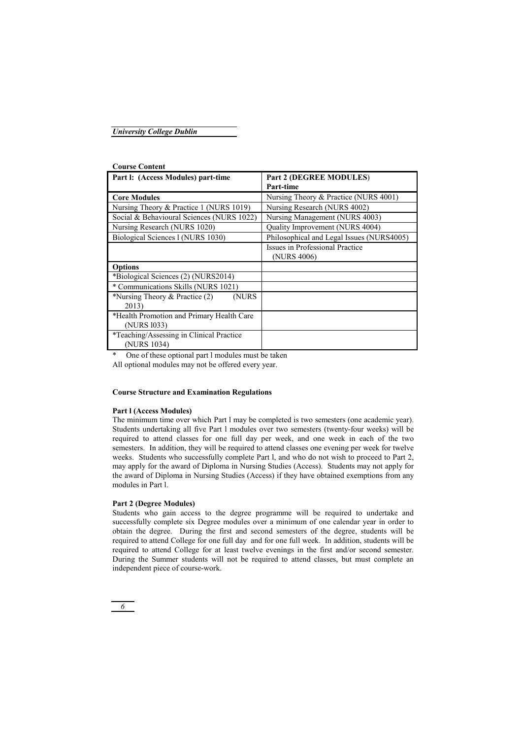| Part I: (Access Modules) part-time        | Part 2 (DEGREE MODULES)                   |
|-------------------------------------------|-------------------------------------------|
|                                           | Part-time                                 |
| <b>Core Modules</b>                       | Nursing Theory & Practice (NURS 4001)     |
| Nursing Theory & Practice 1 (NURS 1019)   | Nursing Research (NURS 4002)              |
| Social & Behavioural Sciences (NURS 1022) | Nursing Management (NURS 4003)            |
| Nursing Research (NURS 1020)              | Quality Improvement (NURS 4004)           |
| Biological Sciences 1 (NURS 1030)         | Philosophical and Legal Issues (NURS4005) |
|                                           | Issues in Professional Practice           |
|                                           | (NURS 4006)                               |
| <b>Options</b>                            |                                           |
| *Biological Sciences (2) (NURS2014)       |                                           |
| * Communications Skills (NURS 1021)       |                                           |
| *Nursing Theory $&$ Practice (2)<br>(NURS |                                           |
| 2013)                                     |                                           |
| *Health Promotion and Primary Health Care |                                           |
| (NURS 1033)                               |                                           |
| *Teaching/Assessing in Clinical Practice  |                                           |
| (NURS 1034)                               |                                           |

#### **Course Content**

One of these optional part l modules must be taken

All optional modules may not be offered every year.

### **Course Structure and Examination Regulations**

### **Part l (Access Modules)**

The minimum time over which Part l may be completed is two semesters (one academic year). Students undertaking all five Part l modules over two semesters (twenty-four weeks) will be required to attend classes for one full day per week, and one week in each of the two semesters. In addition, they will be required to attend classes one evening per week for twelve weeks. Students who successfully complete Part l, and who do not wish to proceed to Part 2, may apply for the award of Diploma in Nursing Studies (Access). Students may not apply for the award of Diploma in Nursing Studies (Access) if they have obtained exemptions from any modules in Part l.

### **Part 2 (Degree Modules)**

Students who gain access to the degree programme will be required to undertake and successfully complete six Degree modules over a minimum of one calendar year in order to obtain the degree. During the first and second semesters of the degree, students will be required to attend College for one full day and for one full week. In addition, students will be required to attend College for at least twelve evenings in the first and/or second semester. During the Summer students will not be required to attend classes, but must complete an independent piece of course-work.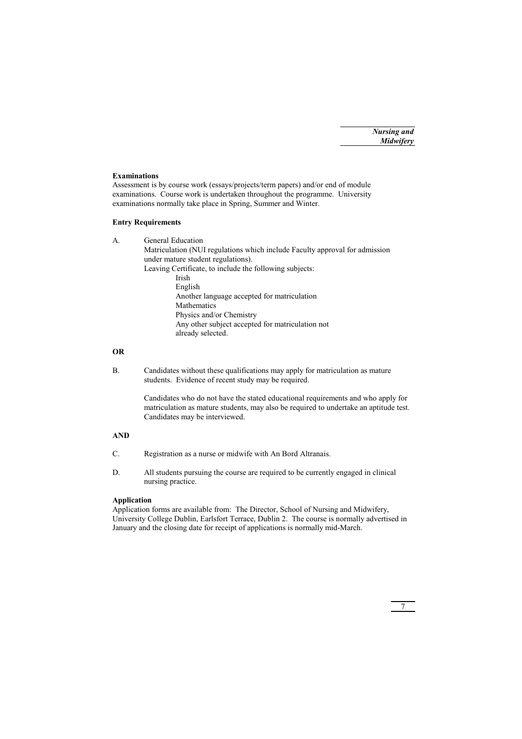### **Examinations**

Assessment is by course work (essays/projects/term papers) and/or end of module examinations. Course work is undertaken throughout the programme. University examinations normally take place in Spring, Summer and Winter.

### **Entry Requirements**

A. General Education Matriculation (NUI regulations which include Faculty approval for admission under mature student regulations). Leaving Certificate, to include the following subjects: Irish English Another language accepted for matriculation **Mathematics**  Physics and/or Chemistry Any other subject accepted for matriculation not already selected.

### **OR**

B. Candidates without these qualifications may apply for matriculation as mature students. Evidence of recent study may be required.

> Candidates who do not have the stated educational requirements and who apply for matriculation as mature students, may also be required to undertake an aptitude test. Candidates may be interviewed.

### **AND**

- C. Registration as a nurse or midwife with An Bord Altranais.
- D. All students pursuing the course are required to be currently engaged in clinical nursing practice.

### **Application**

Application forms are available from: The Director, School of Nursing and Midwifery, University College Dublin, Earlsfort Terrace, Dublin 2. The course is normally advertised in January and the closing date for receipt of applications is normally mid-March.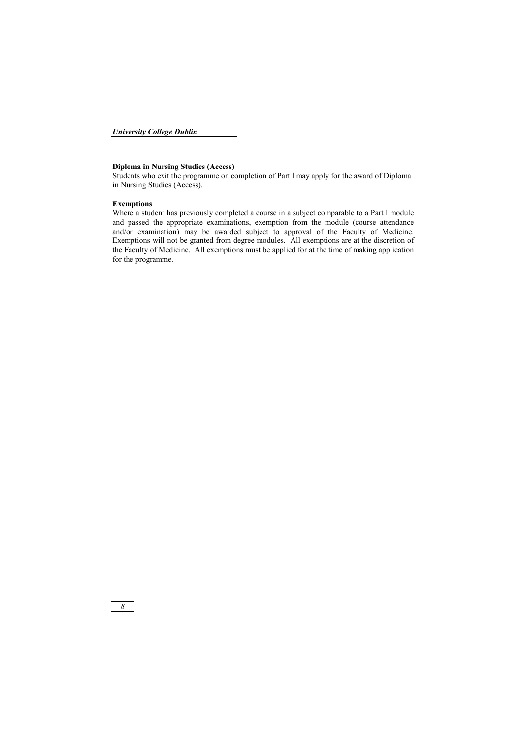### **Diploma in Nursing Studies (Access)**

Students who exit the programme on completion of Part l may apply for the award of Diploma in Nursing Studies (Access).

### **Exemptions**

Where a student has previously completed a course in a subject comparable to a Part l module and passed the appropriate examinations, exemption from the module (course attendance and/or examination) may be awarded subject to approval of the Faculty of Medicine. Exemptions will not be granted from degree modules. All exemptions are at the discretion of the Faculty of Medicine. All exemptions must be applied for at the time of making application for the programme.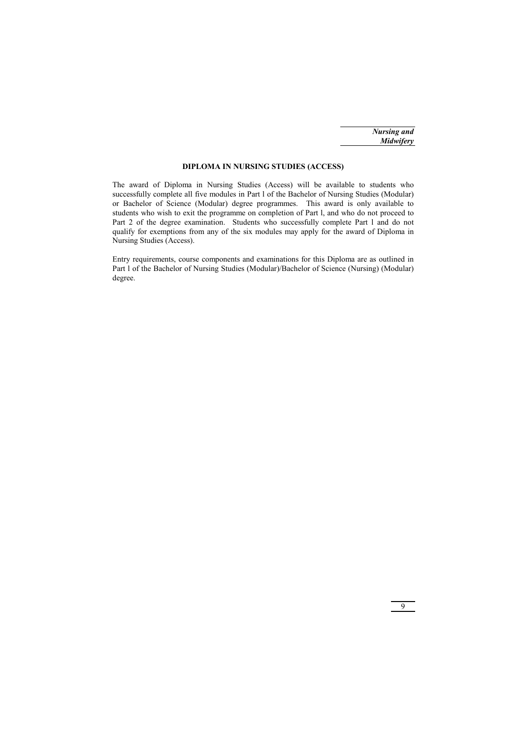### **DIPLOMA IN NURSING STUDIES (ACCESS)**

The award of Diploma in Nursing Studies (Access) will be available to students who successfully complete all five modules in Part l of the Bachelor of Nursing Studies (Modular) or Bachelor of Science (Modular) degree programmes. This award is only available to students who wish to exit the programme on completion of Part l, and who do not proceed to Part 2 of the degree examination. Students who successfully complete Part 1 and do not qualify for exemptions from any of the six modules may apply for the award of Diploma in Nursing Studies (Access).

Entry requirements, course components and examinations for this Diploma are as outlined in Part l of the Bachelor of Nursing Studies (Modular)/Bachelor of Science (Nursing) (Modular) degree.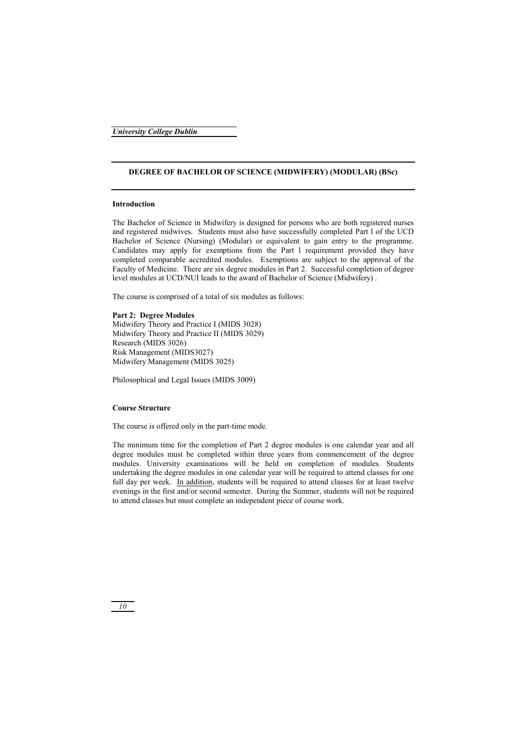### **DEGREE OF BACHELOR OF SCIENCE (MIDWIFERY) (MODULAR) (BSc)**

#### **Introduction**

The Bachelor of Science in Midwifery is designed for persons who are both registered nurses and registered midwives. Students must also have successfully completed Part l of the UCD Bachelor of Science (Nursing) (Modular) or equivalent to gain entry to the programme. Candidates may apply for exemptions from the Part l requirement provided they have completed comparable accredited modules. Exemptions are subject to the approval of the Faculty of Medicine. There are six degree modules in Part 2. Successful completion of degree level modules at UCD/NUI leads to the award of Bachelor of Science (Midwifery) .

The course is comprised of a total of six modules as follows:

#### **Part 2: Degree Modules**

Midwifery Theory and Practice I (MIDS 3028) Midwifery Theory and Practice II (MIDS 3029) Research (MIDS 3026) Risk Management (MIDS3027) Midwifery Management (MIDS 3025)

Philosophical and Legal Issues (MIDS 3009)

### **Course Structure**

The course is offered only in the part-time mode.

The minimum time for the completion of Part 2 degree modules is one calendar year and all degree modules must be completed within three years from commencement of the degree modules. University examinations will be held on completion of modules. Students undertaking the degree modules in one calendar year will be required to attend classes for one full day per week. In addition, students will be required to attend classes for at least twelve evenings in the first and/or second semester. During the Summer, students will not be required to attend classes but must complete an independent piece of course work.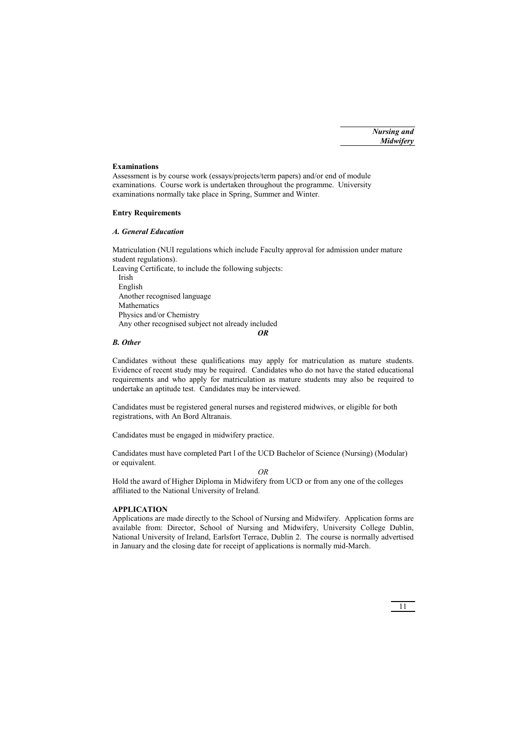### **Examinations**

Assessment is by course work (essays/projects/term papers) and/or end of module examinations. Course work is undertaken throughout the programme. University examinations normally take place in Spring, Summer and Winter.

### **Entry Requirements**

### *A. General Education*

Matriculation (NUI regulations which include Faculty approval for admission under mature student regulations).

Leaving Certificate, to include the following subjects: Irish English Another recognised language **Mathematics**  Physics and/or Chemistry Any other recognised subject not already included

### *OR*

### *B. Other*

Candidates without these qualifications may apply for matriculation as mature students. Evidence of recent study may be required. Candidates who do not have the stated educational requirements and who apply for matriculation as mature students may also be required to undertake an aptitude test. Candidates may be interviewed.

Candidates must be registered general nurses and registered midwives, or eligible for both registrations, with An Bord Altranais.

Candidates must be engaged in midwifery practice.

Candidates must have completed Part l of the UCD Bachelor of Science (Nursing) (Modular) or equivalent.

*OR* 

Hold the award of Higher Diploma in Midwifery from UCD or from any one of the colleges affiliated to the National University of Ireland.

### **APPLICATION**

Applications are made directly to the School of Nursing and Midwifery. Application forms are available from: Director, School of Nursing and Midwifery, University College Dublin, National University of Ireland, Earlsfort Terrace, Dublin 2. The course is normally advertised in January and the closing date for receipt of applications is normally mid-March.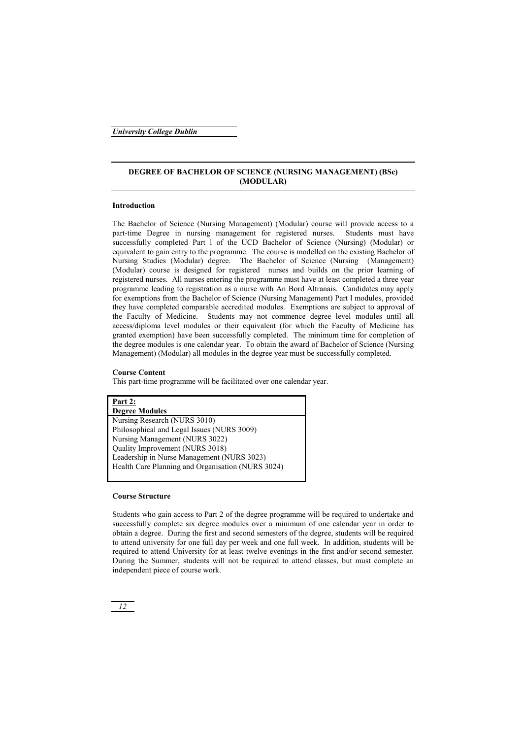### **DEGREE OF BACHELOR OF SCIENCE (NURSING MANAGEMENT) (BSc) (MODULAR)**

### **Introduction**

The Bachelor of Science (Nursing Management) (Modular) course will provide access to a part-time Degree in nursing management for registered nurses. Students must have successfully completed Part l of the UCD Bachelor of Science (Nursing) (Modular) or equivalent to gain entry to the programme. The course is modelled on the existing Bachelor of Nursing Studies (Modular) degree. The Bachelor of Science (Nursing (Management) (Modular) course is designed for registered nurses and builds on the prior learning of registered nurses. All nurses entering the programme must have at least completed a three year programme leading to registration as a nurse with An Bord Altranais. Candidates may apply for exemptions from the Bachelor of Science (Nursing Management) Part l modules, provided they have completed comparable accredited modules. Exemptions are subject to approval of the Faculty of Medicine. Students may not commence degree level modules until all access/diploma level modules or their equivalent (for which the Faculty of Medicine has granted exemption) have been successfully completed. The minimum time for completion of the degree modules is one calendar year. To obtain the award of Bachelor of Science (Nursing Management) (Modular) all modules in the degree year must be successfully completed.

### **Course Content**

This part-time programme will be facilitated over one calendar year.

| Part 2:                                           |
|---------------------------------------------------|
| <b>Degree Modules</b>                             |
| Nursing Research (NURS 3010)                      |
| Philosophical and Legal Issues (NURS 3009)        |
| Nursing Management (NURS 3022)                    |
| Quality Improvement (NURS 3018)                   |
| Leadership in Nurse Management (NURS 3023)        |
| Health Care Planning and Organisation (NURS 3024) |
|                                                   |

### **Course Structure**

Students who gain access to Part 2 of the degree programme will be required to undertake and successfully complete six degree modules over a minimum of one calendar year in order to obtain a degree. During the first and second semesters of the degree, students will be required to attend university for one full day per week and one full week. In addition, students will be required to attend University for at least twelve evenings in the first and/or second semester. During the Summer, students will not be required to attend classes, but must complete an independent piece of course work.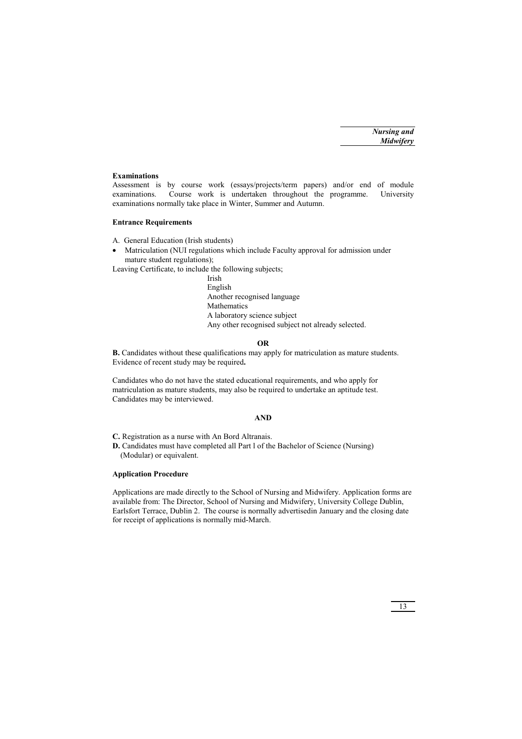### **Examinations**

Assessment is by course work (essays/projects/term papers) and/or end of module examinations. Course work is undertaken throughout the programme. University examinations normally take place in Winter, Summer and Autumn.

### **Entrance Requirements**

- A. General Education (Irish students)
- Matriculation (NUI regulations which include Faculty approval for admission under mature student regulations);

Leaving Certificate, to include the following subjects;

 Irish English Another recognised language **Mathematics**  A laboratory science subject Any other recognised subject not already selected.

### **OR**

**B.** Candidates without these qualifications may apply for matriculation as mature students. Evidence of recent study may be required**.** 

Candidates who do not have the stated educational requirements, and who apply for matriculation as mature students, may also be required to undertake an aptitude test. Candidates may be interviewed.

### **AND**

**C.** Registration as a nurse with An Bord Altranais.

**D.** Candidates must have completed all Part l of the Bachelor of Science (Nursing) (Modular) or equivalent.

### **Application Procedure**

Applications are made directly to the School of Nursing and Midwifery. Application forms are available from: The Director, School of Nursing and Midwifery, University College Dublin, Earlsfort Terrace, Dublin 2. The course is normally advertisedin January and the closing date for receipt of applications is normally mid-March.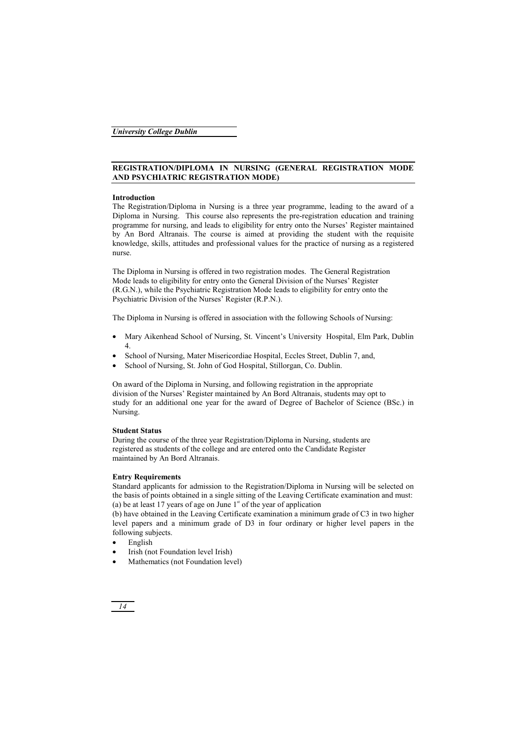### **REGISTRATION/DIPLOMA IN NURSING (GENERAL REGISTRATION MODE AND PSYCHIATRIC REGISTRATION MODE)**

### **Introduction**

The Registration/Diploma in Nursing is a three year programme, leading to the award of a Diploma in Nursing. This course also represents the pre-registration education and training programme for nursing, and leads to eligibility for entry onto the Nurses' Register maintained by An Bord Altranais. The course is aimed at providing the student with the requisite knowledge, skills, attitudes and professional values for the practice of nursing as a registered nurse.

The Diploma in Nursing is offered in two registration modes. The General Registration Mode leads to eligibility for entry onto the General Division of the Nurses' Register (R.G.N.), while the Psychiatric Registration Mode leads to eligibility for entry onto the Psychiatric Division of the Nurses' Register (R.P.N.).

The Diploma in Nursing is offered in association with the following Schools of Nursing:

- Mary Aikenhead School of Nursing, St. Vincent's University Hospital, Elm Park, Dublin 4.
- School of Nursing, Mater Misericordiae Hospital, Eccles Street, Dublin 7, and,
- School of Nursing, St. John of God Hospital, Stillorgan, Co. Dublin.

On award of the Diploma in Nursing, and following registration in the appropriate division of the Nurses' Register maintained by An Bord Altranais, students may opt to study for an additional one year for the award of Degree of Bachelor of Science (BSc.) in Nursing.

### **Student Status**

During the course of the three year Registration/Diploma in Nursing, students are registered as students of the college and are entered onto the Candidate Register maintained by An Bord Altranais.

### **Entry Requirements**

Standard applicants for admission to the Registration/Diploma in Nursing will be selected on the basis of points obtained in a single sitting of the Leaving Certificate examination and must: (a) be at least 17 years of age on June  $1<sup>st</sup>$  of the year of application

(b) have obtained in the Leaving Certificate examination a minimum grade of C3 in two higher level papers and a minimum grade of D3 in four ordinary or higher level papers in the following subjects.

- English
- Irish (not Foundation level Irish)
- Mathematics (not Foundation level)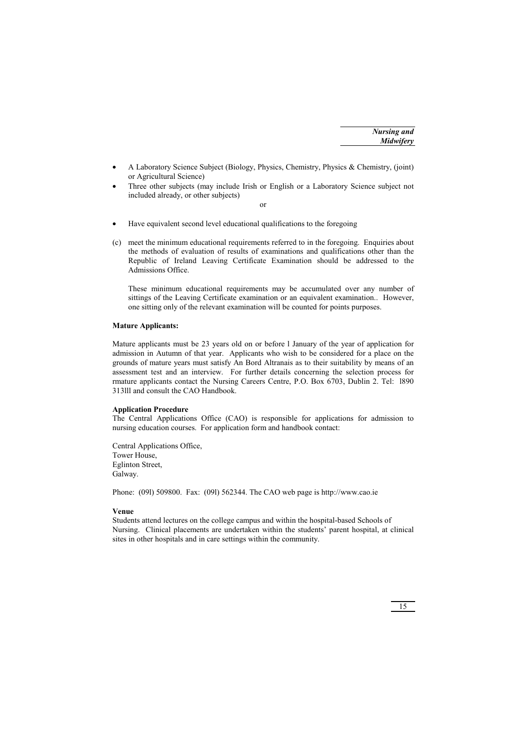- A Laboratory Science Subject (Biology, Physics, Chemistry, Physics & Chemistry, (joint) or Agricultural Science)
- Three other subjects (may include Irish or English or a Laboratory Science subject not included already, or other subjects)

or

- Have equivalent second level educational qualifications to the foregoing
- (c) meet the minimum educational requirements referred to in the foregoing. Enquiries about the methods of evaluation of results of examinations and qualifications other than the Republic of Ireland Leaving Certificate Examination should be addressed to the Admissions Office.

These minimum educational requirements may be accumulated over any number of sittings of the Leaving Certificate examination or an equivalent examination.. However, one sitting only of the relevant examination will be counted for points purposes.

### **Mature Applicants:**

Mature applicants must be 23 years old on or before l January of the year of application for admission in Autumn of that year. Applicants who wish to be considered for a place on the grounds of mature years must satisfy An Bord Altranais as to their suitability by means of an assessment test and an interview. For further details concerning the selection process for rmature applicants contact the Nursing Careers Centre, P.O. Box 6703, Dublin 2. Tel: 1890. 313lll and consult the CAO Handbook.

### **Application Procedure**

The Central Applications Office (CAO) is responsible for applications for admission to nursing education courses. For application form and handbook contact:

Central Applications Office, Tower House, Eglinton Street, Galway.

Phone: (09l) 509800. Fax: (09l) 562344. The CAO web page is http://www.cao.ie

### **Venue**

Students attend lectures on the college campus and within the hospital-based Schools of Nursing. Clinical placements are undertaken within the students' parent hospital, at clinical sites in other hospitals and in care settings within the community.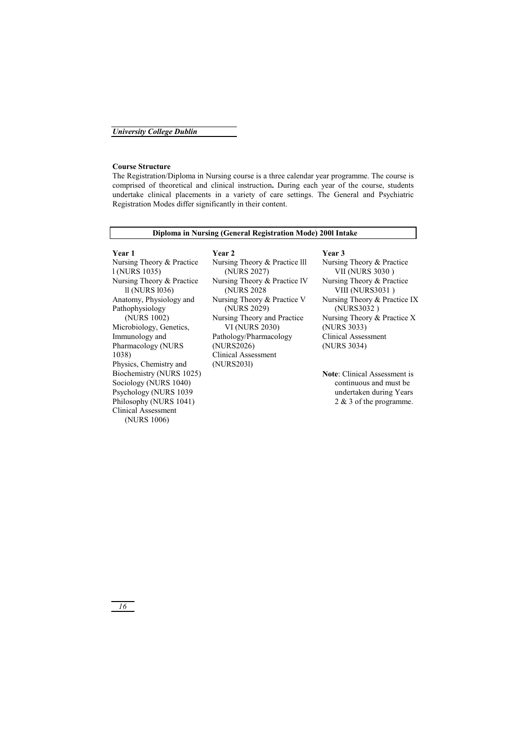#### **Course Structure**

The Registration/Diploma in Nursing course is a three calendar year programme. The course is comprised of theoretical and clinical instruction**.** During each year of the course, students undertake clinical placements in a variety of care settings. The General and Psychiatric Registration Modes differ significantly in their content.

#### **Diploma in Nursing (General Registration Mode) 200l Intake**

#### **Year 1 Year 2 Year 3**

Nursing Theory & Practice l (NURS 1035) Nursing Theory & Practice ll (NURS l036) Anatomy, Physiology and Pathophysiology (NURS 1002) Microbiology, Genetics, Immunology and Pharmacology (NURS 1038) Physics, Chemistry and Biochemistry (NURS 1025) Sociology (NURS 1040) Psychology (NURS 1039 Philosophy (NURS 1041) Clinical Assessment (NURS 1006)

Nursing Theory & Practice lll (NURS 2027) Nursing Theory & Practice lV (NURS 2028 Nursing Theory & Practice V (NURS 2029) Nursing Theory and Practice VI (NURS 2030) Pathology/Pharmacology (NURS2026) Clinical Assessment (NURS203l)

Nursing Theory & Practice VII (NURS 3030 ) Nursing Theory & Practice VIII (NURS3031 ) Nursing Theory & Practice IX (NURS3032 ) Nursing Theory & Practice X (NURS 3033) Clinical Assessment (NURS 3034)

**Note**: Clinical Assessment is continuous and must be undertaken during Years 2 & 3 of the programme.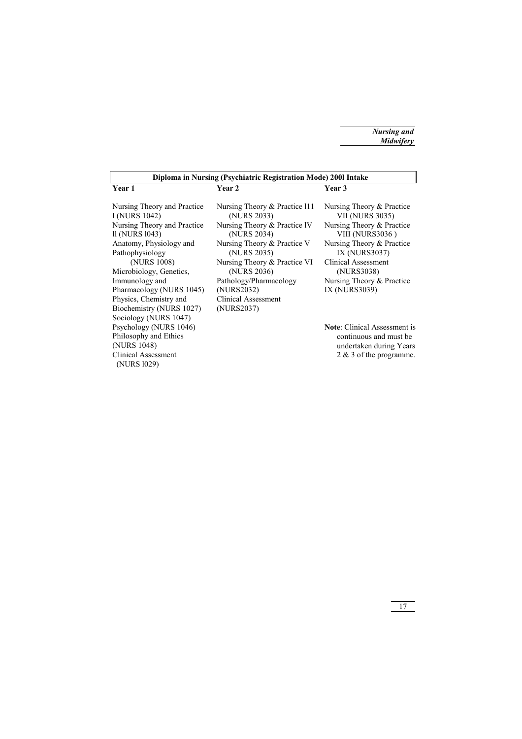| Diploma in Nursing (Psychiatric Registration Mode) 2001 Intake                                                                                                                                                                                                                            |                                                                                                                                                                                                                                                                       |                                                                                                                                                                                                                                             |  |
|-------------------------------------------------------------------------------------------------------------------------------------------------------------------------------------------------------------------------------------------------------------------------------------------|-----------------------------------------------------------------------------------------------------------------------------------------------------------------------------------------------------------------------------------------------------------------------|---------------------------------------------------------------------------------------------------------------------------------------------------------------------------------------------------------------------------------------------|--|
| Year 1                                                                                                                                                                                                                                                                                    | Year 2                                                                                                                                                                                                                                                                | Year 3                                                                                                                                                                                                                                      |  |
| Nursing Theory and Practice<br>1 (NURS 1042)<br>Nursing Theory and Practice<br>11 (NURS 1043)<br>Anatomy, Physiology and<br>Pathophysiology<br>(NURS 1008)<br>Microbiology, Genetics,<br>Immunology and<br>Pharmacology (NURS 1045)<br>Physics, Chemistry and<br>Biochemistry (NURS 1027) | Nursing Theory & Practice 111<br>(NURS 2033)<br>Nursing Theory & Practice IV<br>(NURS 2034)<br>Nursing Theory & Practice V<br>(NURS 2035)<br>Nursing Theory & Practice VI<br>(NURS 2036)<br>Pathology/Pharmacology<br>(NURS2032)<br>Clinical Assessment<br>(NURS2037) | Nursing Theory & Practice<br><b>VII (NURS 3035)</b><br>Nursing Theory & Practice<br>VIII (NURS3036)<br>Nursing Theory & Practice<br>IX (NURS3037)<br><b>Clinical Assessment</b><br>(NURS3038)<br>Nursing Theory & Practice<br>IX (NURS3039) |  |
| Sociology (NURS 1047)<br>Psychology (NURS 1046)<br>Philosophy and Ethics<br>(NURS 1048)<br>Clinical Assessment<br>(NURS 1029)                                                                                                                                                             |                                                                                                                                                                                                                                                                       | <b>Note:</b> Clinical Assessment is<br>continuous and must be<br>undertaken during Years<br>2 & 3 of the programme.                                                                                                                         |  |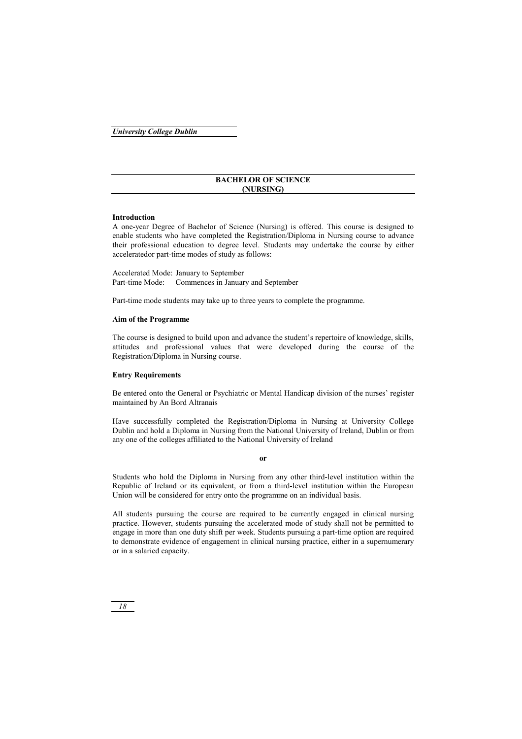### **BACHELOR OF SCIENCE (NURSING)**

### **Introduction**

A one-year Degree of Bachelor of Science (Nursing) is offered. This course is designed to enable students who have completed the Registration/Diploma in Nursing course to advance their professional education to degree level. Students may undertake the course by either acceleratedor part-time modes of study as follows:

Accelerated Mode: January to September Part-time Mode: Commences in January and September

Part-time mode students may take up to three years to complete the programme.

### **Aim of the Programme**

The course is designed to build upon and advance the student's repertoire of knowledge, skills, attitudes and professional values that were developed during the course of the Registration/Diploma in Nursing course.

### **Entry Requirements**

Be entered onto the General or Psychiatric or Mental Handicap division of the nurses' register maintained by An Bord Altranais

Have successfully completed the Registration/Diploma in Nursing at University College Dublin and hold a Diploma in Nursing from the National University of Ireland, Dublin or from any one of the colleges affiliated to the National University of Ireland

#### **or**

Students who hold the Diploma in Nursing from any other third-level institution within the Republic of Ireland or its equivalent, or from a third-level institution within the European Union will be considered for entry onto the programme on an individual basis.

All students pursuing the course are required to be currently engaged in clinical nursing practice. However, students pursuing the accelerated mode of study shall not be permitted to engage in more than one duty shift per week. Students pursuing a part-time option are required to demonstrate evidence of engagement in clinical nursing practice, either in a supernumerary or in a salaried capacity.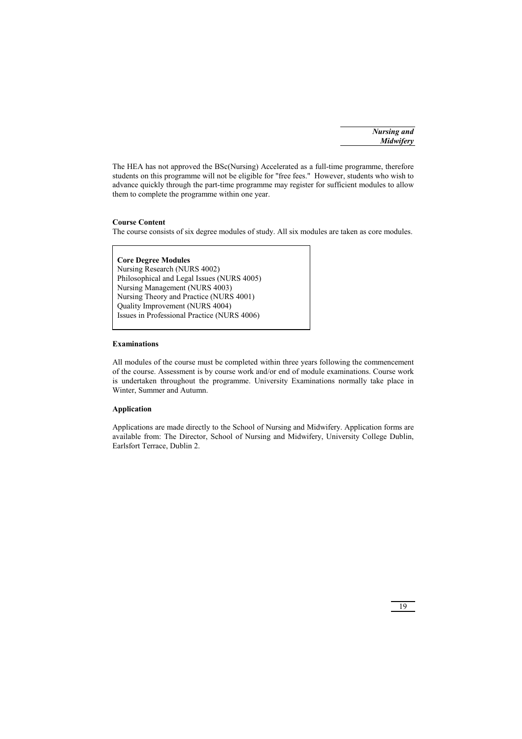*Nursing and Midwifery*

The HEA has not approved the BSc(Nursing) Accelerated as a full-time programme, therefore students on this programme will not be eligible for "free fees." However, students who wish to advance quickly through the part-time programme may register for sufficient modules to allow them to complete the programme within one year.

### **Course Content**

The course consists of six degree modules of study. All six modules are taken as core modules.

**Core Degree Modules**  Nursing Research (NURS 4002) Philosophical and Legal Issues (NURS 4005) Nursing Management (NURS 4003) Nursing Theory and Practice (NURS 4001) Quality Improvement (NURS 4004) Issues in Professional Practice (NURS 4006)

### **Examinations**

All modules of the course must be completed within three years following the commencement of the course. Assessment is by course work and/or end of module examinations. Course work is undertaken throughout the programme. University Examinations normally take place in Winter, Summer and Autumn.

### **Application**

Applications are made directly to the School of Nursing and Midwifery. Application forms are available from: The Director, School of Nursing and Midwifery, University College Dublin, Earlsfort Terrace, Dublin 2.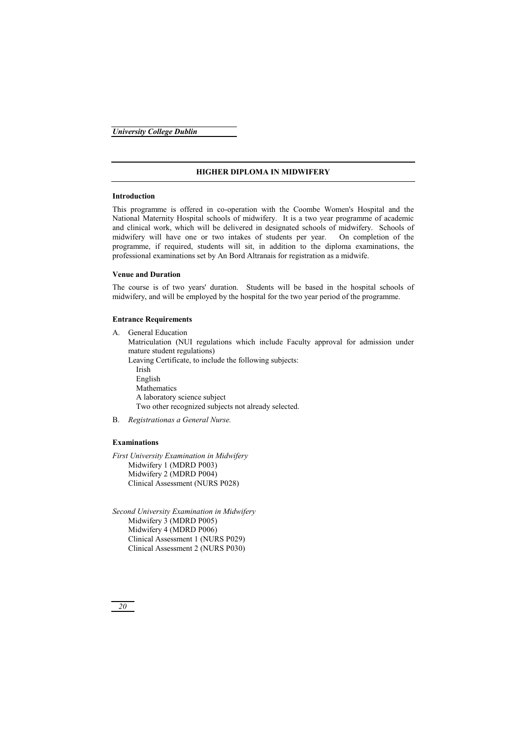### **HIGHER DIPLOMA IN MIDWIFERY**

#### **Introduction**

This programme is offered in co-operation with the Coombe Women's Hospital and the National Maternity Hospital schools of midwifery. It is a two year programme of academic and clinical work, which will be delivered in designated schools of midwifery. Schools of midwifery will have one or two intakes of students per year. On completion of the programme, if required, students will sit, in addition to the diploma examinations, the professional examinations set by An Bord Altranais for registration as a midwife.

#### **Venue and Duration**

The course is of two years' duration. Students will be based in the hospital schools of midwifery, and will be employed by the hospital for the two year period of the programme.

#### **Entrance Requirements**

A. General Education

 Matriculation (NUI regulations which include Faculty approval for admission under mature student regulations)

Leaving Certificate, to include the following subjects:

 Irish English **Mathematics**  A laboratory science subject Two other recognized subjects not already selected.

B. *Registrationas a General Nurse.* 

### **Examinations**

*First University Examination in Midwifery*  Midwifery 1 (MDRD P003) Midwifery 2 (MDRD P004) Clinical Assessment (NURS P028)

*Second University Examination in Midwifery*  Midwifery 3 (MDRD P005) Midwifery 4 (MDRD P006) Clinical Assessment 1 (NURS P029) Clinical Assessment 2 (NURS P030)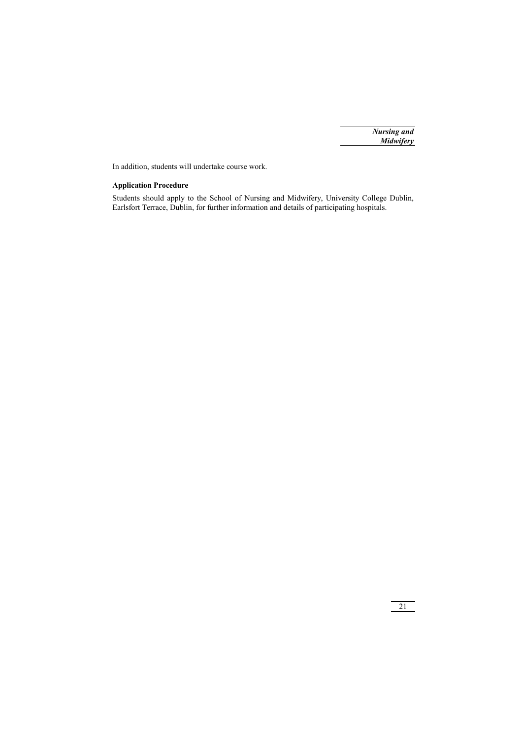In addition, students will undertake course work.

### **Application Procedure**

Students should apply to the School of Nursing and Midwifery, University College Dublin, Earlsfort Terrace, Dublin, for further information and details of participating hospitals.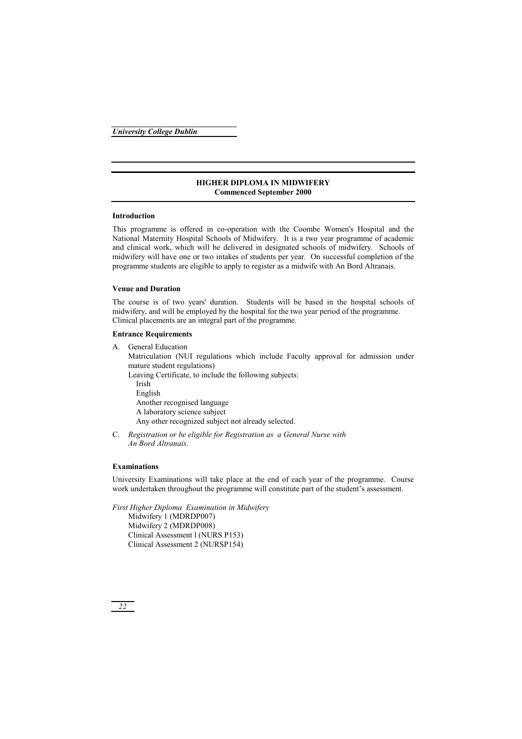### **HIGHER DIPLOMA IN MIDWIFERY Commenced September 2000**

### **Introduction**

This programme is offered in co-operation with the Coombe Women's Hospital and the National Maternity Hospital Schools of Midwifery. It is a two year programme of academic and clinical work, which will be delivered in designated schools of midwifery. Schools of midwifery will have one or two intakes of students per year. On successful completion of the programme students are eligible to apply to register as a midwife with An Bord Altranais.

### **Venue and Duration**

The course is of two years' duration. Students will be based in the hospital schools of midwifery, and will be employed by the hospital for the two year period of the programme. Clinical placements are an integral part of the programme.

### **Entrance Requirements**

A. General Education

 Matriculation (NUI regulations which include Faculty approval for admission under mature student regulations)

 Leaving Certificate, to include the following subjects: Irish English Another recognised language A laboratory science subject Any other recognized subject not already selected.

C. *Registration or be eligible for Registration as a General Nurse with An Bord Altranais.* 

### **Examinations**

University Examinations will take place at the end of each year of the programme. Course work undertaken throughout the programme will constitute part of the student's assessment.

*First Higher Diploma Examination in Midwifery*  Midwifery 1 (MDRDP007) Midwifery 2 (MDRDP008) Clinical Assessment l (NURS P153) Clinical Assessment 2 (NURSP154)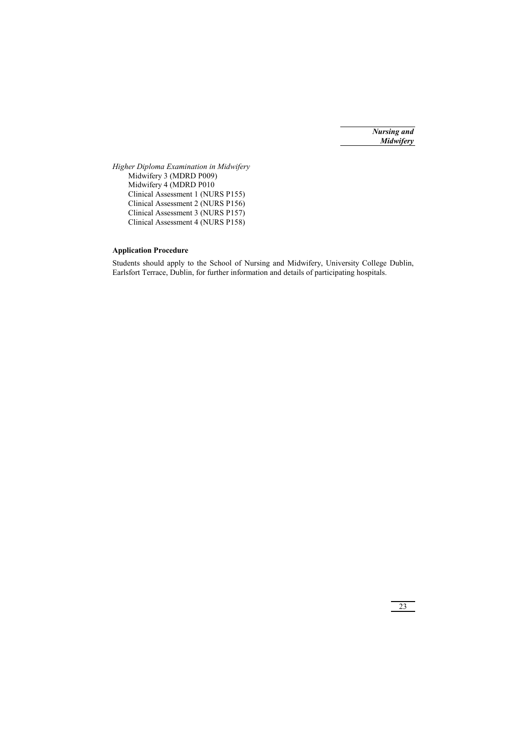*Nursing and Midwifery*

*Higher Diploma Examination in Midwifery*  Midwifery 3 (MDRD P009) Midwifery 4 (MDRD P010 Clinical Assessment 1 (NURS P155) Clinical Assessment 2 (NURS P156) Clinical Assessment 3 (NURS P157) Clinical Assessment 4 (NURS P158)

### **Application Procedure**

Students should apply to the School of Nursing and Midwifery, University College Dublin, Earlsfort Terrace, Dublin, for further information and details of participating hospitals.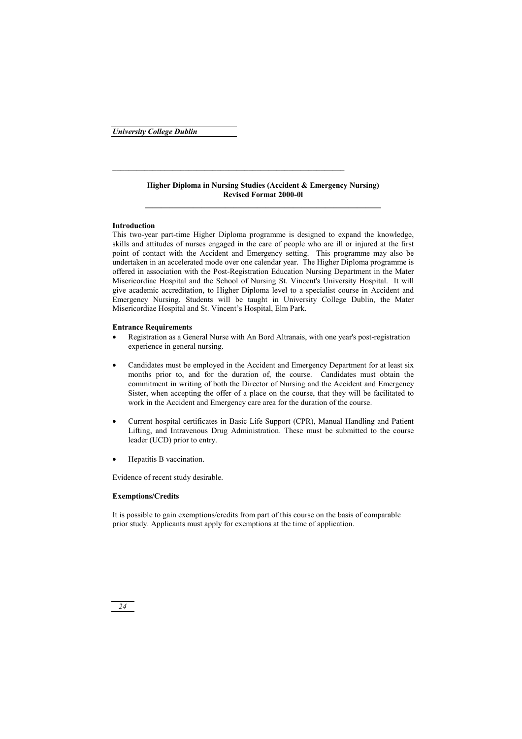### **Higher Diploma in Nursing Studies (Accident & Emergency Nursing) Revised Format 2000-0l**

### **Introduction**

This two-year part-time Higher Diploma programme is designed to expand the knowledge, skills and attitudes of nurses engaged in the care of people who are ill or injured at the first point of contact with the Accident and Emergency setting. This programme may also be undertaken in an accelerated mode over one calendar year. The Higher Diploma programme is offered in association with the Post-Registration Education Nursing Department in the Mater Misericordiae Hospital and the School of Nursing St. Vincent's University Hospital. It will give academic accreditation, to Higher Diploma level to a specialist course in Accident and Emergency Nursing. Students will be taught in University College Dublin, the Mater Misericordiae Hospital and St. Vincent's Hospital, Elm Park.

### **Entrance Requirements**

- Registration as a General Nurse with An Bord Altranais, with one year's post-registration experience in general nursing.
- Candidates must be employed in the Accident and Emergency Department for at least six months prior to, and for the duration of, the course. Candidates must obtain the commitment in writing of both the Director of Nursing and the Accident and Emergency Sister, when accepting the offer of a place on the course, that they will be facilitated to work in the Accident and Emergency care area for the duration of the course.
- Current hospital certificates in Basic Life Support (CPR), Manual Handling and Patient Lifting, and Intravenous Drug Administration. These must be submitted to the course leader (UCD) prior to entry.
- Hepatitis B vaccination.

Evidence of recent study desirable.

### **Exemptions/Credits**

It is possible to gain exemptions/credits from part of this course on the basis of comparable prior study. Applicants must apply for exemptions at the time of application.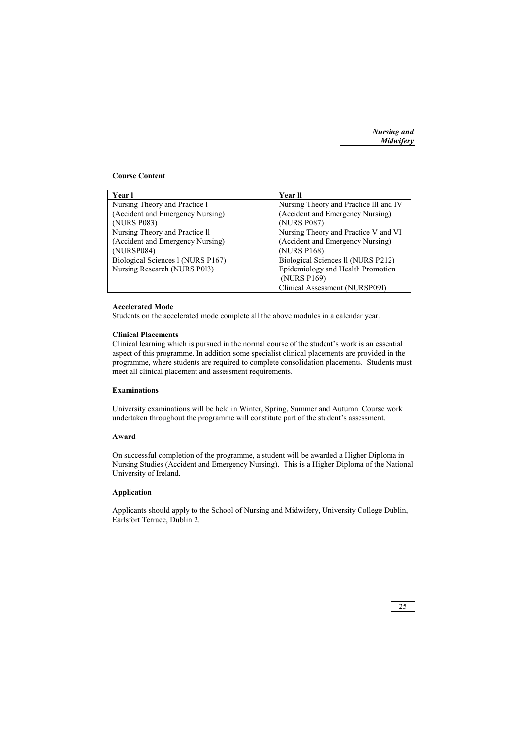### **Course Content**

| Year l                            | <b>Year II</b>                         |
|-----------------------------------|----------------------------------------|
| Nursing Theory and Practice 1     | Nursing Theory and Practice III and IV |
| (Accident and Emergency Nursing)  | (Accident and Emergency Nursing)       |
| (NURS P083)                       | (NURS P087)                            |
| Nursing Theory and Practice II    | Nursing Theory and Practice V and VI   |
| (Accident and Emergency Nursing)  | (Accident and Emergency Nursing)       |
| (NURSP084)                        | (NURS P168)                            |
| Biological Sciences 1 (NURS P167) | Biological Sciences II (NURS P212)     |
| Nursing Research (NURS P013)      | Epidemiology and Health Promotion      |
|                                   | (NURS P169)                            |
|                                   | Clinical Assessment (NURSP091)         |

### **Accelerated Mode**

Students on the accelerated mode complete all the above modules in a calendar year.

### **Clinical Placements**

Clinical learning which is pursued in the normal course of the student's work is an essential aspect of this programme. In addition some specialist clinical placements are provided in the programme, where students are required to complete consolidation placements. Students must meet all clinical placement and assessment requirements.

### **Examinations**

University examinations will be held in Winter, Spring, Summer and Autumn. Course work undertaken throughout the programme will constitute part of the student's assessment.

### **Award**

On successful completion of the programme, a student will be awarded a Higher Diploma in Nursing Studies (Accident and Emergency Nursing). This is a Higher Diploma of the National University of Ireland.

### **Application**

Applicants should apply to the School of Nursing and Midwifery, University College Dublin, Earlsfort Terrace, Dublin 2.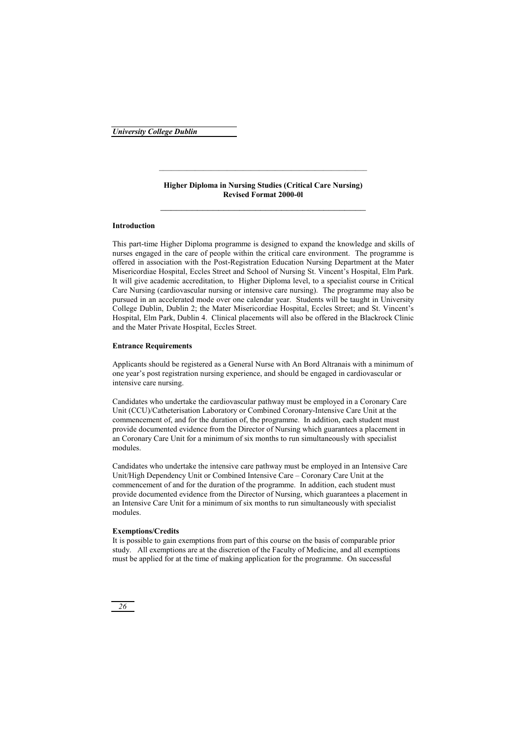**Higher Diploma in Nursing Studies (Critical Care Nursing) Revised Format 2000-0l**  \_\_\_\_\_\_\_\_\_\_\_\_\_\_\_\_\_\_\_\_\_\_\_\_\_\_\_\_\_\_\_\_\_\_\_\_\_\_\_

### **Introduction**

This part-time Higher Diploma programme is designed to expand the knowledge and skills of nurses engaged in the care of people within the critical care environment. The programme is offered in association with the Post-Registration Education Nursing Department at the Mater Misericordiae Hospital, Eccles Street and School of Nursing St. Vincent's Hospital, Elm Park. It will give academic accreditation, to Higher Diploma level, to a specialist course in Critical Care Nursing (cardiovascular nursing or intensive care nursing). The programme may also be pursued in an accelerated mode over one calendar year. Students will be taught in University College Dublin, Dublin 2; the Mater Misericordiae Hospital, Eccles Street; and St. Vincent's Hospital, Elm Park, Dublin 4. Clinical placements will also be offered in the Blackrock Clinic and the Mater Private Hospital, Eccles Street.

### **Entrance Requirements**

Applicants should be registered as a General Nurse with An Bord Altranais with a minimum of one year's post registration nursing experience, and should be engaged in cardiovascular or intensive care nursing.

Candidates who undertake the cardiovascular pathway must be employed in a Coronary Care Unit (CCU)/Catheterisation Laboratory or Combined Coronary-Intensive Care Unit at the commencement of, and for the duration of, the programme. In addition, each student must provide documented evidence from the Director of Nursing which guarantees a placement in an Coronary Care Unit for a minimum of six months to run simultaneously with specialist modules.

Candidates who undertake the intensive care pathway must be employed in an Intensive Care Unit/High Dependency Unit or Combined Intensive Care – Coronary Care Unit at the commencement of and for the duration of the programme. In addition, each student must provide documented evidence from the Director of Nursing, which guarantees a placement in an Intensive Care Unit for a minimum of six months to run simultaneously with specialist modules.

### **Exemptions/Credits**

It is possible to gain exemptions from part of this course on the basis of comparable prior study. All exemptions are at the discretion of the Faculty of Medicine, and all exemptions must be applied for at the time of making application for the programme. On successful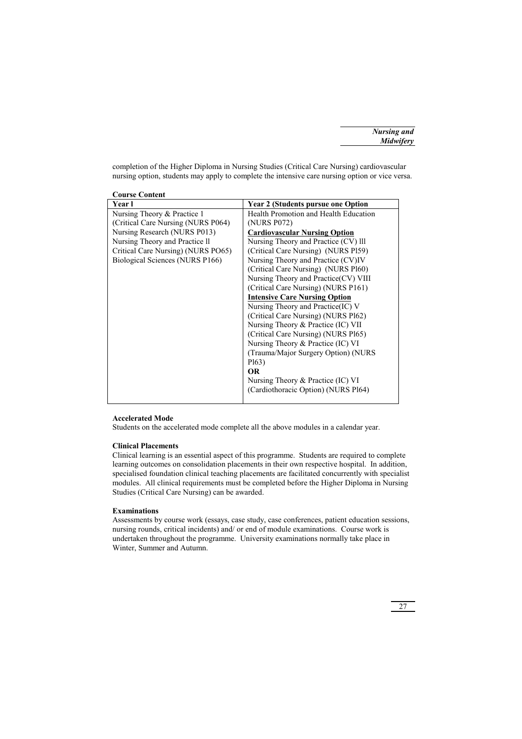completion of the Higher Diploma in Nursing Studies (Critical Care Nursing) cardiovascular nursing option, students may apply to complete the intensive care nursing option or vice versa.

| <b>Course Content</b>              |                                           |
|------------------------------------|-------------------------------------------|
| Year l                             | <b>Year 2 (Students pursue one Option</b> |
| Nursing Theory & Practice 1        | Health Promotion and Health Education     |
| (Critical Care Nursing (NURS P064) | (NURS P072)                               |
| Nursing Research (NURS P013)       | <b>Cardiovascular Nursing Option</b>      |
| Nursing Theory and Practice II     | Nursing Theory and Practice (CV) lll      |
| Critical Care Nursing) (NURS PO65) | (Critical Care Nursing) (NURS P159)       |
| Biological Sciences (NURS P166)    | Nursing Theory and Practice (CV)IV        |
|                                    | (Critical Care Nursing) (NURS Pl60)       |
|                                    | Nursing Theory and Practice(CV) VIII      |
|                                    | (Critical Care Nursing) (NURS P161)       |
|                                    | <b>Intensive Care Nursing Option</b>      |
|                                    | Nursing Theory and Practice (IC) V        |
|                                    | (Critical Care Nursing) (NURS Pl62)       |
|                                    | Nursing Theory & Practice (IC) VII        |
|                                    | (Critical Care Nursing) (NURS Pl65)       |
|                                    | Nursing Theory $&$ Practice (IC) VI       |
|                                    | (Trauma/Major Surgery Option) (NURS       |
|                                    | P <sub>163</sub> )                        |
|                                    | <b>OR</b>                                 |
|                                    | Nursing Theory $&$ Practice (IC) VI       |
|                                    | (Cardiothoracic Option) (NURS Pl64)       |
|                                    |                                           |

### **Accelerated Mode**

Students on the accelerated mode complete all the above modules in a calendar year.

### **Clinical Placements**

Clinical learning is an essential aspect of this programme. Students are required to complete learning outcomes on consolidation placements in their own respective hospital. In addition, specialised foundation clinical teaching placements are facilitated concurrently with specialist modules. All clinical requirements must be completed before the Higher Diploma in Nursing Studies (Critical Care Nursing) can be awarded.

### **Examinations**

Assessments by course work (essays, case study, case conferences, patient education sessions, nursing rounds, critical incidents) and/ or end of module examinations. Course work is undertaken throughout the programme. University examinations normally take place in Winter, Summer and Autumn.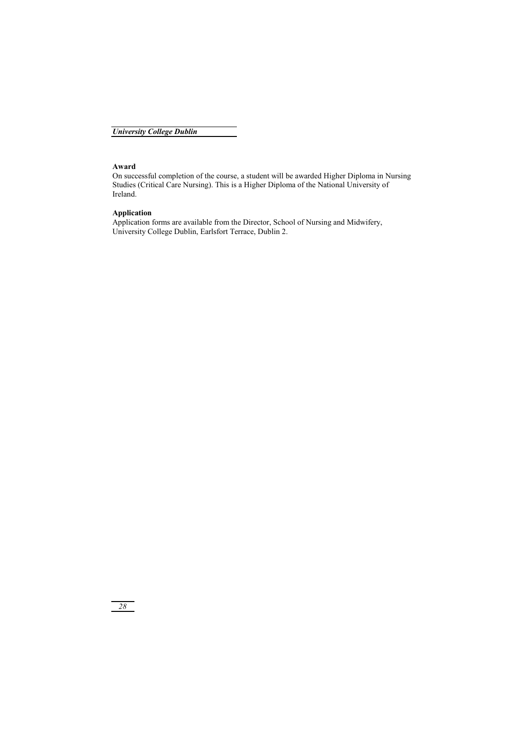### **Award**

On successful completion of the course, a student will be awarded Higher Diploma in Nursing Studies (Critical Care Nursing). This is a Higher Diploma of the National University of Ireland.

### **Application**

Application forms are available from the Director, School of Nursing and Midwifery, University College Dublin, Earlsfort Terrace, Dublin 2.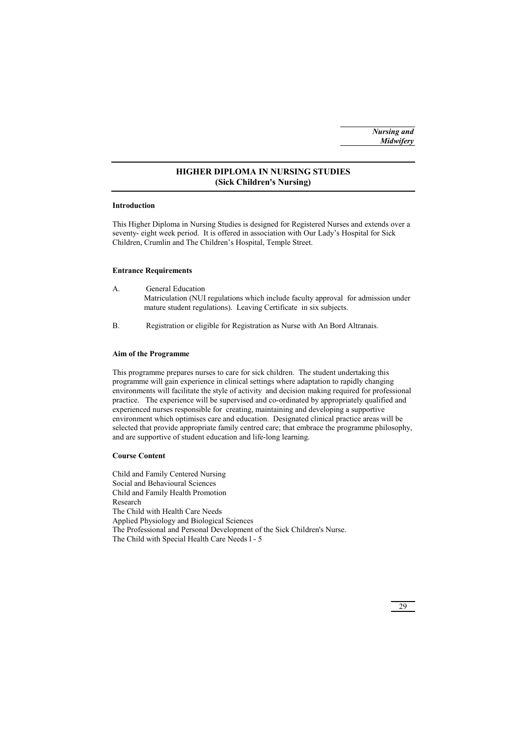### **HIGHER DIPLOMA IN NURSING STUDIES (Sick Children's Nursing)**

### **Introduction**

This Higher Diploma in Nursing Studies is designed for Registered Nurses and extends over a seventy- eight week period. It is offered in association with Our Lady's Hospital for Sick Children, Crumlin and The Children's Hospital, Temple Street.

### **Entrance Requirements**

- A. General Education Matriculation (NUI regulations which include faculty approval for admission under mature student regulations). Leaving Certificate in six subjects.
- B. Registration or eligible for Registration as Nurse with An Bord Altranais.

### **Aim of the Programme**

This programme prepares nurses to care for sick children. The student undertaking this programme will gain experience in clinical settings where adaptation to rapidly changing environments will facilitate the style of activity and decision making required for professional practice. The experience will be supervised and co-ordinated by appropriately qualified and experienced nurses responsible for creating, maintaining and developing a supportive environment which optimises care and education. Designated clinical practice areas will be selected that provide appropriate family centred care; that embrace the programme philosophy, and are supportive of student education and life-long learning.

### **Course Content**

Child and Family Centered Nursing Social and Behavioural Sciences Child and Family Health Promotion Research The Child with Health Care Needs Applied Physiology and Biological Sciences The Professional and Personal Development of the Sick Children's Nurse. The Child with Special Health Care Needs l - 5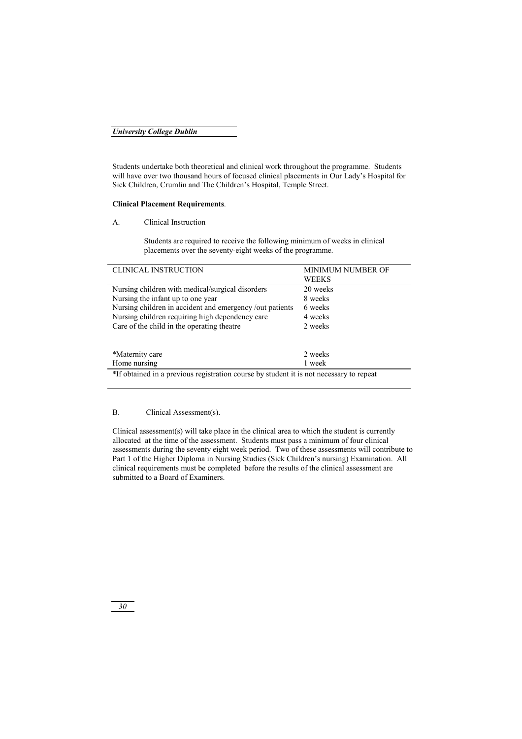Students undertake both theoretical and clinical work throughout the programme. Students will have over two thousand hours of focused clinical placements in Our Lady's Hospital for Sick Children, Crumlin and The Children's Hospital, Temple Street.

### **Clinical Placement Requirements**.

A. Clinical Instruction

 Students are required to receive the following minimum of weeks in clinical placements over the seventy-eight weeks of the programme.

| <b>CLINICAL INSTRUCTION</b>                                                             | <b>MINIMUM NUMBER OF</b> |  |
|-----------------------------------------------------------------------------------------|--------------------------|--|
|                                                                                         | <b>WEEKS</b>             |  |
| Nursing children with medical/surgical disorders                                        | 20 weeks                 |  |
| Nursing the infant up to one year                                                       | 8 weeks                  |  |
| Nursing children in accident and emergency /out patients                                | 6 weeks                  |  |
| Nursing children requiring high dependency care                                         | 4 weeks                  |  |
| Care of the child in the operating theatre                                              | 2 weeks                  |  |
|                                                                                         |                          |  |
|                                                                                         |                          |  |
| *Maternity care                                                                         | 2 weeks                  |  |
| Home nursing                                                                            | 1 week                   |  |
| *If obtained in a previous registration course by student it is not necessary to repeat |                          |  |

### B. Clinical Assessment(s).

Clinical assessment(s) will take place in the clinical area to which the student is currently allocated at the time of the assessment. Students must pass a minimum of four clinical assessments during the seventy eight week period. Two of these assessments will contribute to Part 1 of the Higher Diploma in Nursing Studies (Sick Children's nursing) Examination. All clinical requirements must be completed before the results of the clinical assessment are submitted to a Board of Examiners.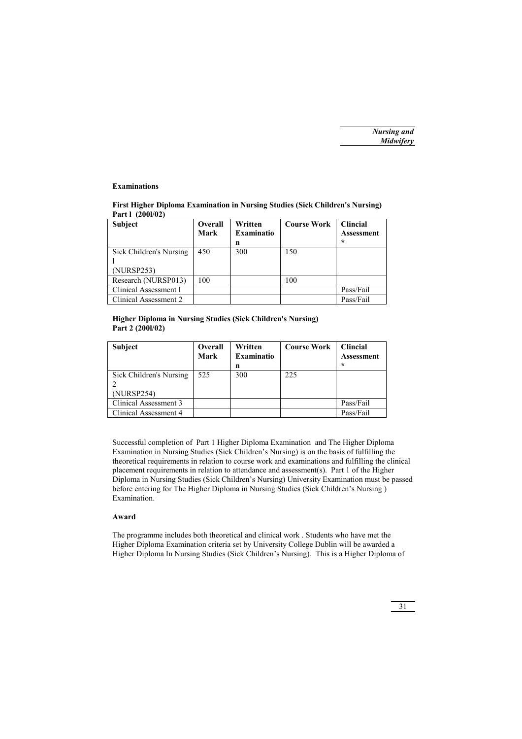### **Examinations**

### **First Higher Diploma Examination in Nursing Studies (Sick Children's Nursing) Part l (200l/02)**

| <b>Subject</b>                        | Overall<br>Mark | Written<br><b>Examinatio</b><br>n | <b>Course Work</b> | <b>Clincial</b><br>Assessment<br>÷ |
|---------------------------------------|-----------------|-----------------------------------|--------------------|------------------------------------|
| Sick Children's Nursing<br>(NURSP253) | 450             | 300                               | 150                |                                    |
| Research (NURSP013)                   | 100             |                                   | 100                |                                    |
| Clinical Assessment 1                 |                 |                                   |                    | Pass/Fail                          |
| Clinical Assessment 2                 |                 |                                   |                    | Pass/Fail                          |

### **Higher Diploma in Nursing Studies (Sick Children's Nursing) Part 2 (200l/02)**

| <b>Subject</b>                        | Overall<br>Mark | Written<br><b>Examinatio</b><br>n | <b>Course Work</b> | <b>Clincial</b><br><b>Assessment</b><br>÷ |
|---------------------------------------|-----------------|-----------------------------------|--------------------|-------------------------------------------|
| Sick Children's Nursing<br>(NURSP254) | 525             | 300                               | 225                |                                           |
| Clinical Assessment 3                 |                 |                                   |                    | Pass/Fail                                 |
| Clinical Assessment 4                 |                 |                                   |                    | Pass/Fail                                 |

Successful completion of Part 1 Higher Diploma Examination and The Higher Diploma Examination in Nursing Studies (Sick Children's Nursing) is on the basis of fulfilling the theoretical requirements in relation to course work and examinations and fulfilling the clinical placement requirements in relation to attendance and assessment(s). Part 1 of the Higher Diploma in Nursing Studies (Sick Children's Nursing) University Examination must be passed before entering for The Higher Diploma in Nursing Studies (Sick Children's Nursing ) Examination.

### **Award**

The programme includes both theoretical and clinical work . Students who have met the Higher Diploma Examination criteria set by University College Dublin will be awarded a Higher Diploma In Nursing Studies (Sick Children's Nursing). This is a Higher Diploma of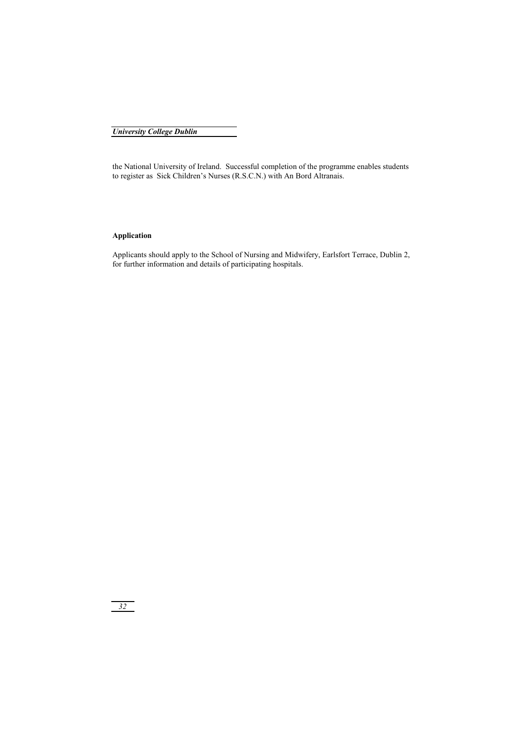the National University of Ireland. Successful completion of the programme enables students to register as Sick Children's Nurses (R.S.C.N.) with An Bord Altranais.

### **Application**

Applicants should apply to the School of Nursing and Midwifery, Earlsfort Terrace, Dublin 2, for further information and details of participating hospitals.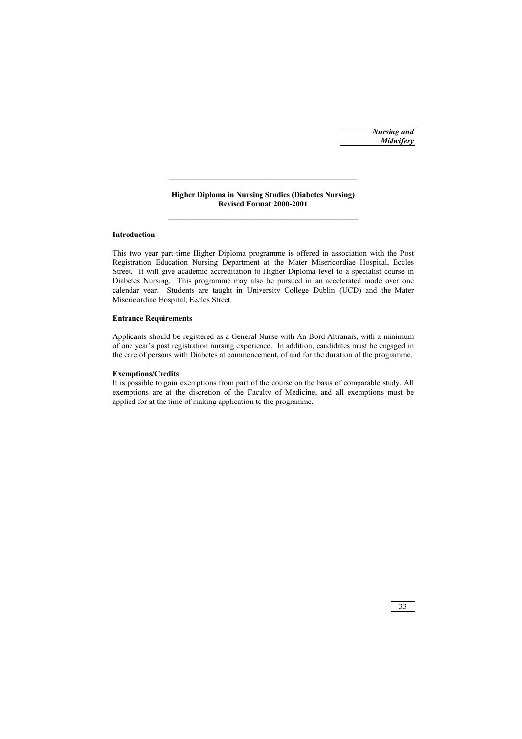*Nursing and Midwifery*

### **Higher Diploma in Nursing Studies (Diabetes Nursing) Revised Format 2000-2001**  \_\_\_\_\_\_\_\_\_\_\_\_\_\_\_\_\_\_\_\_\_\_\_\_\_\_\_\_\_\_\_\_\_\_\_\_

\_\_\_\_\_\_\_\_\_\_\_\_\_\_\_\_\_\_\_\_\_\_\_\_\_\_\_\_\_\_\_\_\_\_\_\_\_\_\_\_\_\_\_\_\_\_\_

### **Introduction**

This two year part-time Higher Diploma programme is offered in association with the Post Registration Education Nursing Department at the Mater Misericordiae Hospital, Eccles Street. It will give academic accreditation to Higher Diploma level to a specialist course in Diabetes Nursing. This programme may also be pursued in an accelerated mode over one calendar year. Students are taught in University College Dublin (UCD) and the Mater Misericordiae Hospital, Eccles Street.

### **Entrance Requirements**

Applicants should be registered as a General Nurse with An Bord Altranais, with a minimum of one year's post registration nursing experience. In addition, candidates must be engaged in the care of persons with Diabetes at commencement, of and for the duration of the programme.

#### **Exemptions/Credits**

It is possible to gain exemptions from part of the course on the basis of comparable study. All exemptions are at the discretion of the Faculty of Medicine, and all exemptions must be applied for at the time of making application to the programme.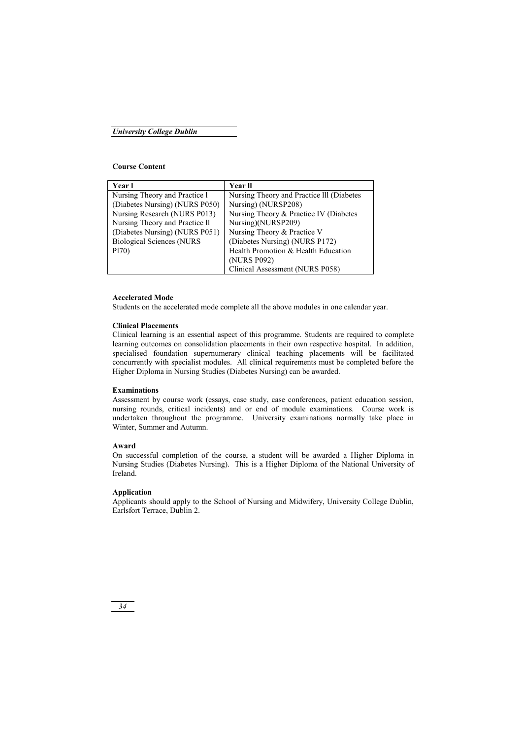### **Course Content**

| Year l                           | Year ll                                   |
|----------------------------------|-------------------------------------------|
| Nursing Theory and Practice 1    | Nursing Theory and Practice III (Diabetes |
| (Diabetes Nursing) (NURS P050)   | Nursing) (NURSP208)                       |
| Nursing Research (NURS P013)     | Nursing Theory & Practice IV (Diabetes    |
| Nursing Theory and Practice II   | Nursing)(NURSP209)                        |
| (Diabetes Nursing) (NURS P051)   | Nursing Theory & Practice V               |
| <b>Biological Sciences (NURS</b> | (Diabetes Nursing) (NURS P172)            |
| P <sub>170</sub> )               | Health Promotion & Health Education       |
|                                  | (NURS P092)                               |
|                                  | Clinical Assessment (NURS P058)           |

### **Accelerated Mode**

Students on the accelerated mode complete all the above modules in one calendar year.

### **Clinical Placements**

Clinical learning is an essential aspect of this programme. Students are required to complete learning outcomes on consolidation placements in their own respective hospital. In addition, specialised foundation supernumerary clinical teaching placements will be facilitated concurrently with specialist modules. All clinical requirements must be completed before the Higher Diploma in Nursing Studies (Diabetes Nursing) can be awarded.

### **Examinations**

Assessment by course work (essays, case study, case conferences, patient education session, nursing rounds, critical incidents) and or end of module examinations. Course work is undertaken throughout the programme. University examinations normally take place in Winter, Summer and Autumn.

### **Award**

On successful completion of the course, a student will be awarded a Higher Diploma in Nursing Studies (Diabetes Nursing). This is a Higher Diploma of the National University of Ireland.

### **Application**

Applicants should apply to the School of Nursing and Midwifery, University College Dublin, Earlsfort Terrace, Dublin 2.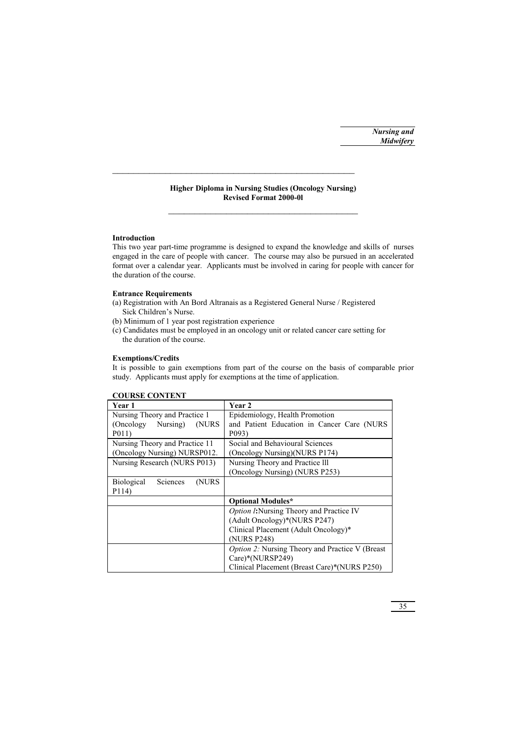### **Higher Diploma in Nursing Studies (Oncology Nursing) Revised Format 2000-0l**  \_\_\_\_\_\_\_\_\_\_\_\_\_\_\_\_\_\_\_\_\_\_\_\_\_\_\_\_\_\_\_\_\_\_\_\_

\_\_\_\_\_\_\_\_\_\_\_\_\_\_\_\_\_\_\_\_\_\_\_\_\_\_\_\_\_\_\_\_\_\_\_\_\_\_\_\_\_\_\_\_\_\_

### **Introduction**

This two year part-time programme is designed to expand the knowledge and skills of nurses engaged in the care of people with cancer. The course may also be pursued in an accelerated format over a calendar year. Applicants must be involved in caring for people with cancer for the duration of the course.

### **Entrance Requirements**

- (a) Registration with An Bord Altranais as a Registered General Nurse / Registered Sick Children's Nurse.
- (b) Minimum of 1 year post registration experience
- (c) Candidates must be employed in an oncology unit or related cancer care setting for the duration of the course.

### **Exemptions/Credits**

It is possible to gain exemptions from part of the course on the basis of comparable prior study. Applicants must apply for exemptions at the time of application.

| Year 1                                  | Year 2                                                  |
|-----------------------------------------|---------------------------------------------------------|
| Nursing Theory and Practice 1           | Epidemiology, Health Promotion                          |
| (Oncology Nursing)<br>(NURS             | and Patient Education in Cancer Care (NURS              |
| P <sub>011</sub>                        | P <sub>09</sub> 3)                                      |
| Nursing Theory and Practice 11          | Social and Behavioural Sciences                         |
| (Oncology Nursing) NURSP012.            | (Oncology Nursing)(NURS P174)                           |
| Nursing Research (NURS P013)            | Nursing Theory and Practice III                         |
|                                         | (Oncology Nursing) (NURS P253)                          |
| <b>Biological</b><br>Sciences<br>(NURS) |                                                         |
| P114)                                   |                                                         |
|                                         | <b>Optional Modules*</b>                                |
|                                         | <i>Option l:</i> Nursing Theory and Practice IV         |
|                                         | (Adult Oncology)*(NURS P247)                            |
|                                         | Clinical Placement (Adult Oncology)*                    |
|                                         | (NURS P248)                                             |
|                                         | <i>Option 2:</i> Nursing Theory and Practice V (Breast) |
|                                         | Care)*(NURSP249)                                        |
|                                         | Clinical Placement (Breast Care)*(NURS P250)            |

### **COURSE CONTENT**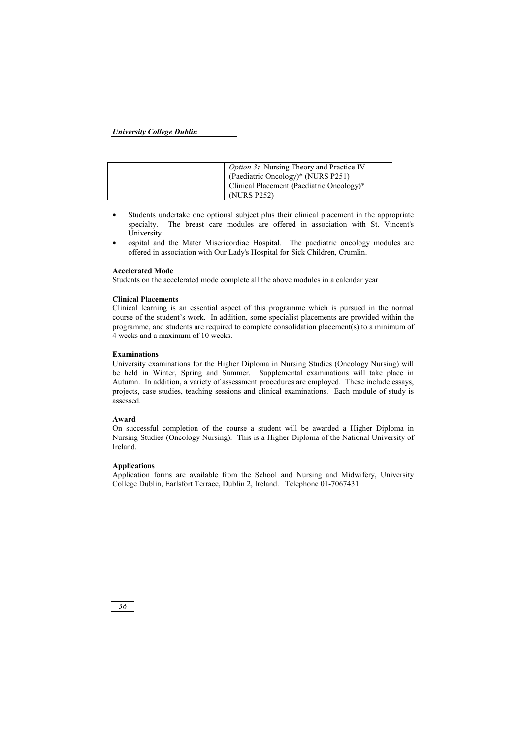| <i>Option 3:</i> Nursing Theory and Practice IV |
|-------------------------------------------------|
| (Paediatric Oncology)* (NURS P251)              |
| Clinical Placement (Paediatric Oncology)*       |
| (NURS P252)                                     |

- Students undertake one optional subject plus their clinical placement in the appropriate specialty. The breast care modules are offered in association with St. Vincent's University
- ospital and the Mater Misericordiae Hospital. The paediatric oncology modules are offered in association with Our Lady's Hospital for Sick Children, Crumlin.

### **Accelerated Mode**

Students on the accelerated mode complete all the above modules in a calendar year

### **Clinical Placements**

Clinical learning is an essential aspect of this programme which is pursued in the normal course of the student's work. In addition, some specialist placements are provided within the programme, and students are required to complete consolidation placement(s) to a minimum of 4 weeks and a maximum of 10 weeks.

### **Examinations**

University examinations for the Higher Diploma in Nursing Studies (Oncology Nursing) will be held in Winter, Spring and Summer. Supplemental examinations will take place in Autumn. In addition, a variety of assessment procedures are employed. These include essays, projects, case studies, teaching sessions and clinical examinations. Each module of study is assessed.

### **Award**

On successful completion of the course a student will be awarded a Higher Diploma in Nursing Studies (Oncology Nursing). This is a Higher Diploma of the National University of Ireland.

### **Applications**

Application forms are available from the School and Nursing and Midwifery, University College Dublin, Earlsfort Terrace, Dublin 2, Ireland. Telephone 01-7067431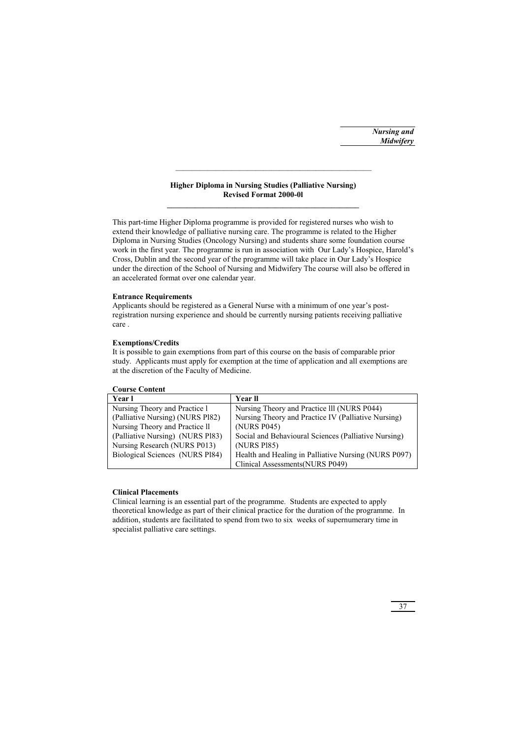*Nursing and Midwifery*

### **Higher Diploma in Nursing Studies (Palliative Nursing) Revised Format 2000-0l**

This part-time Higher Diploma programme is provided for registered nurses who wish to extend their knowledge of palliative nursing care. The programme is related to the Higher Diploma in Nursing Studies (Oncology Nursing) and students share some foundation course work in the first year. The programme is run in association with Our Lady's Hospice, Harold's Cross, Dublin and the second year of the programme will take place in Our Lady's Hospice under the direction of the School of Nursing and Midwifery The course will also be offered in an accelerated format over one calendar year.

### **Entrance Requirements**

Applicants should be registered as a General Nurse with a minimum of one year's postregistration nursing experience and should be currently nursing patients receiving palliative care .

### **Exemptions/Credits**

It is possible to gain exemptions from part of this course on the basis of comparable prior study. Applicants must apply for exemption at the time of application and all exemptions are at the discretion of the Faculty of Medicine.

### **Course Content**

| Year l                           | <b>Year II</b>                                       |
|----------------------------------|------------------------------------------------------|
| Nursing Theory and Practice 1    | Nursing Theory and Practice III (NURS P044)          |
| (Palliative Nursing) (NURS P182) | Nursing Theory and Practice IV (Palliative Nursing)  |
| Nursing Theory and Practice II   | (NURS P045)                                          |
| (Palliative Nursing) (NURS P183) | Social and Behavioural Sciences (Palliative Nursing) |
| Nursing Research (NURS P013)     | (NURS P185)                                          |
| Biological Sciences (NURS Pl84)  | Health and Healing in Palliative Nursing (NURS P097) |
|                                  | Clinical Assessments (NURS P049)                     |

### **Clinical Placements**

Clinical learning is an essential part of the programme. Students are expected to apply theoretical knowledge as part of their clinical practice for the duration of the programme. In addition, students are facilitated to spend from two to six weeks of supernumerary time in specialist palliative care settings.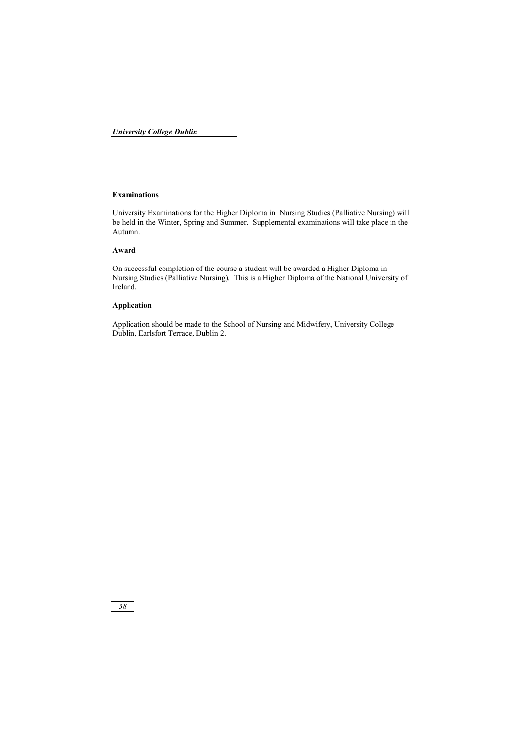### **Examinations**

University Examinations for the Higher Diploma in Nursing Studies (Palliative Nursing) will be held in the Winter, Spring and Summer. Supplemental examinations will take place in the Autumn.

### **Award**

On successful completion of the course a student will be awarded a Higher Diploma in Nursing Studies (Palliative Nursing). This is a Higher Diploma of the National University of Ireland.

### **Application**

Application should be made to the School of Nursing and Midwifery, University College Dublin, Earlsfort Terrace, Dublin 2.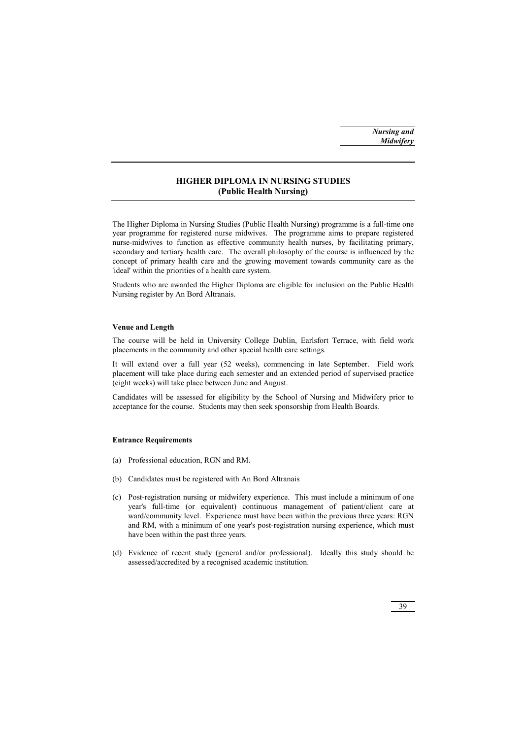### **HIGHER DIPLOMA IN NURSING STUDIES (Public Health Nursing)**

The Higher Diploma in Nursing Studies (Public Health Nursing) programme is a full-time one year programme for registered nurse midwives. The programme aims to prepare registered nurse-midwives to function as effective community health nurses, by facilitating primary, secondary and tertiary health care. The overall philosophy of the course is influenced by the concept of primary health care and the growing movement towards community care as the 'ideal' within the priorities of a health care system.

Students who are awarded the Higher Diploma are eligible for inclusion on the Public Health Nursing register by An Bord Altranais.

### **Venue and Length**

The course will be held in University College Dublin, Earlsfort Terrace, with field work placements in the community and other special health care settings.

It will extend over a full year (52 weeks), commencing in late September. Field work placement will take place during each semester and an extended period of supervised practice (eight weeks) will take place between June and August.

Candidates will be assessed for eligibility by the School of Nursing and Midwifery prior to acceptance for the course. Students may then seek sponsorship from Health Boards.

### **Entrance Requirements**

- (a) Professional education, RGN and RM.
- (b) Candidates must be registered with An Bord Altranais
- (c) Post-registration nursing or midwifery experience. This must include a minimum of one year's full-time (or equivalent) continuous management of patient/client care at ward/community level. Experience must have been within the previous three years: RGN and RM, with a minimum of one year's post-registration nursing experience, which must have been within the past three years.
- (d) Evidence of recent study (general and/or professional). Ideally this study should be assessed/accredited by a recognised academic institution.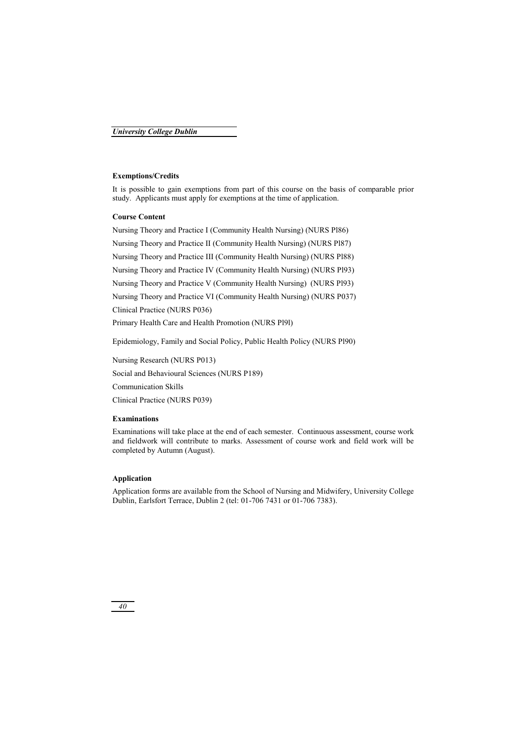### **Exemptions/Credits**

It is possible to gain exemptions from part of this course on the basis of comparable prior study. Applicants must apply for exemptions at the time of application.

### **Course Content**

Nursing Theory and Practice I (Community Health Nursing) (NURS Pl86)

Nursing Theory and Practice II (Community Health Nursing) (NURS Pl87)

Nursing Theory and Practice III (Community Health Nursing) (NURS Pl88)

Nursing Theory and Practice IV (Community Health Nursing) (NURS Pl93)

Nursing Theory and Practice V (Community Health Nursing) (NURS Pl93)

Nursing Theory and Practice VI (Community Health Nursing) (NURS P037)

Clinical Practice (NURS P036)

Primary Health Care and Health Promotion (NURS Pl9l)

Epidemiology, Family and Social Policy, Public Health Policy (NURS Pl90)

Nursing Research (NURS P013) Social and Behavioural Sciences (NURS P189) Communication Skills Clinical Practice (NURS P039)

### **Examinations**

Examinations will take place at the end of each semester. Continuous assessment, course work and fieldwork will contribute to marks. Assessment of course work and field work will be completed by Autumn (August).

### **Application**

Application forms are available from the School of Nursing and Midwifery, University College Dublin, Earlsfort Terrace, Dublin 2 (tel: 01-706 7431 or 01-706 7383).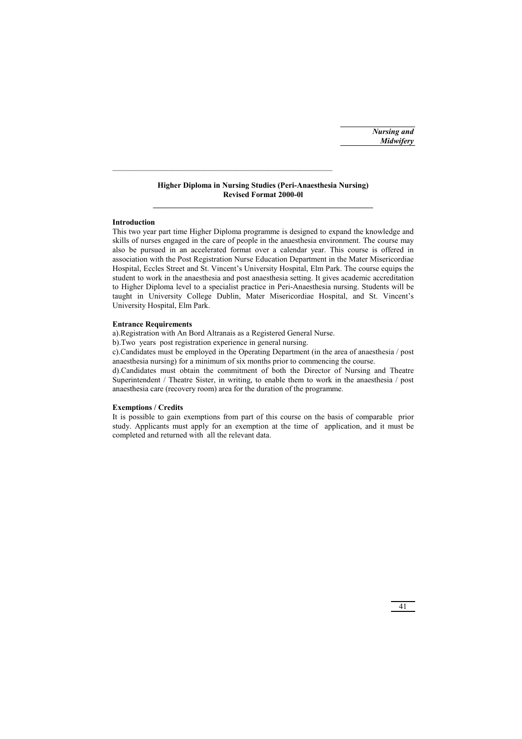### **Higher Diploma in Nursing Studies (Peri-Anaesthesia Nursing) Revised Format 2000-0l**

### **Introduction**

This two year part time Higher Diploma programme is designed to expand the knowledge and skills of nurses engaged in the care of people in the anaesthesia environment. The course may also be pursued in an accelerated format over a calendar year. This course is offered in association with the Post Registration Nurse Education Department in the Mater Misericordiae Hospital, Eccles Street and St. Vincent's University Hospital, Elm Park. The course equips the student to work in the anaesthesia and post anaesthesia setting. It gives academic accreditation to Higher Diploma level to a specialist practice in Peri-Anaesthesia nursing. Students will be taught in University College Dublin, Mater Misericordiae Hospital, and St. Vincent's University Hospital, Elm Park.

### **Entrance Requirements**

a).Registration with An Bord Altranais as a Registered General Nurse.

b).Two years post registration experience in general nursing.

c).Candidates must be employed in the Operating Department (in the area of anaesthesia / post anaesthesia nursing) for a minimum of six months prior to commencing the course.

d).Candidates must obtain the commitment of both the Director of Nursing and Theatre Superintendent / Theatre Sister, in writing, to enable them to work in the anaesthesia / post anaesthesia care (recovery room) area for the duration of the programme.

### **Exemptions / Credits**

It is possible to gain exemptions from part of this course on the basis of comparable prior study. Applicants must apply for an exemption at the time of application, and it must be completed and returned with all the relevant data.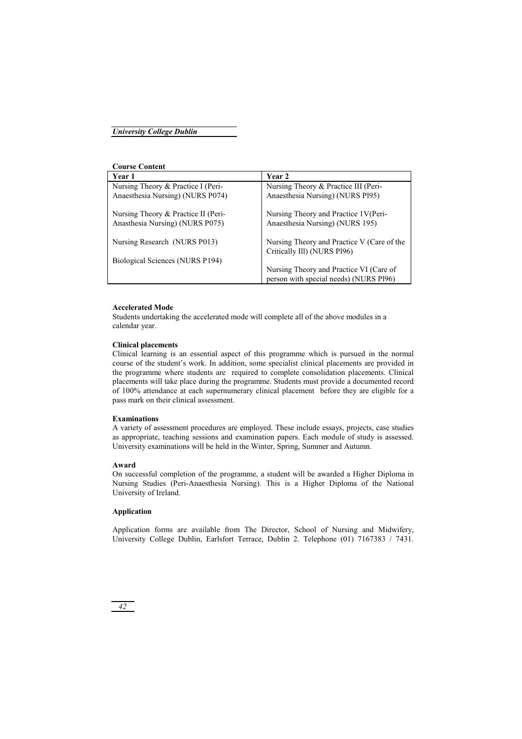### **Course Content**

| Year 1                                                                 | Year 2                                                                    |
|------------------------------------------------------------------------|---------------------------------------------------------------------------|
| Nursing Theory & Practice I (Peri-                                     | Nursing Theory & Practice III (Peri-                                      |
| Anaesthesia Nursing) (NURS P074)                                       | Anaesthesia Nursing) (NURS P195)                                          |
| Nursing Theory & Practice II (Peri-<br>Anasthesia Nursing) (NURS P075) | Nursing Theory and Practice 1V(Peri-<br>Anaesthesia Nursing) (NURS 195)   |
| Nursing Research (NURS P013)                                           | Nursing Theory and Practice V (Care of the<br>Critically Ill) (NURS Pl96) |
| Biological Sciences (NURS P194)                                        |                                                                           |
|                                                                        | Nursing Theory and Practice VI (Care of                                   |
|                                                                        | person with special needs) (NURS Pl96)                                    |

### **Accelerated Mode**

Students undertaking the accelerated mode will complete all of the above modules in a calendar year.

### **Clinical placements**

Clinical learning is an essential aspect of this programme which is pursued in the normal course of the student's work. In addition, some specialist clinical placements are provided in the programme where students are required to complete consolidation placements. Clinical placements will take place during the programme. Students must provide a documented record of 100% attendance at each supernumerary clinical placement before they are eligible for a pass mark on their clinical assessment.

### **Examinations**

A variety of assessment procedures are employed. These include essays, projects, case studies as appropriate, teaching sessions and examination papers. Each module of study is assessed. University examinations will be held in the Winter, Spring, Summer and Autumn.

### **Award**

On successful completion of the programme, a student will be awarded a Higher Diploma in Nursing Studies (Peri-Anaesthesia Nursing). This is a Higher Diploma of the National University of Ireland.

### **Application**

Application forms are available from The Director, School of Nursing and Midwifery, University College Dublin, Earlsfort Terrace, Dublin 2. Telephone (01) 7167383 / 7431.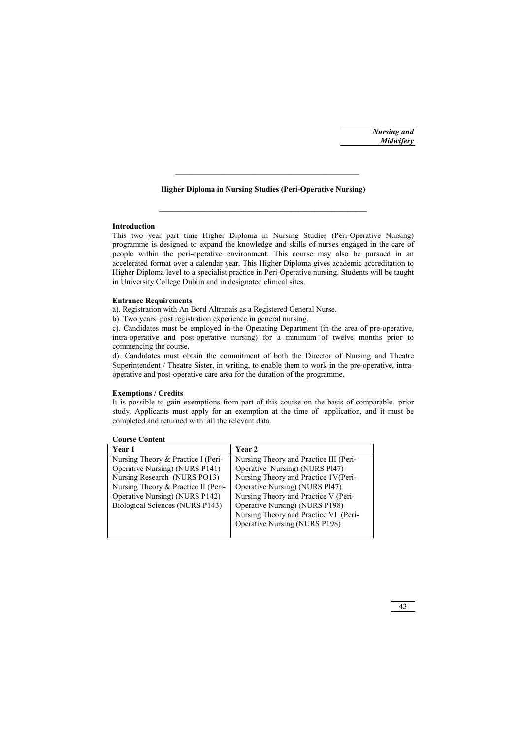### **Higher Diploma in Nursing Studies (Peri-Operative Nursing)**

\_\_\_\_\_\_\_\_\_\_\_\_\_\_\_\_\_\_\_\_\_\_\_\_\_\_\_\_\_\_\_\_\_\_\_\_\_\_\_\_\_\_\_\_\_\_

### **Introduction**

This two year part time Higher Diploma in Nursing Studies (Peri-Operative Nursing) programme is designed to expand the knowledge and skills of nurses engaged in the care of people within the peri-operative environment. This course may also be pursued in an accelerated format over a calendar year. This Higher Diploma gives academic accreditation to Higher Diploma level to a specialist practice in Peri-Operative nursing. Students will be taught in University College Dublin and in designated clinical sites.

### **Entrance Requirements**

a). Registration with An Bord Altranais as a Registered General Nurse.

b). Two years post registration experience in general nursing.

c). Candidates must be employed in the Operating Department (in the area of pre-operative, intra-operative and post-operative nursing) for a minimum of twelve months prior to commencing the course.

d). Candidates must obtain the commitment of both the Director of Nursing and Theatre Superintendent / Theatre Sister, in writing, to enable them to work in the pre-operative, intraoperative and post-operative care area for the duration of the programme.

### **Exemptions / Credits**

It is possible to gain exemptions from part of this course on the basis of comparable prior study. Applicants must apply for an exemption at the time of application, and it must be completed and returned with all the relevant data.

| Year 1                              | <b>Year 2</b>                          |
|-------------------------------------|----------------------------------------|
| Nursing Theory & Practice I (Peri-  | Nursing Theory and Practice III (Peri- |
| Operative Nursing) (NURS P141)      | Operative Nursing) (NURS Pl47)         |
| Nursing Research (NURS PO13)        | Nursing Theory and Practice 1V(Peri-   |
| Nursing Theory & Practice II (Peri- | Operative Nursing) (NURS Pl47)         |
| Operative Nursing) (NURS P142)      | Nursing Theory and Practice V (Peri-   |
| Biological Sciences (NURS P143)     | Operative Nursing) (NURS P198)         |
|                                     | Nursing Theory and Practice VI (Peri-  |
|                                     | <b>Operative Nursing (NURS P198)</b>   |
|                                     |                                        |

### **Course Content**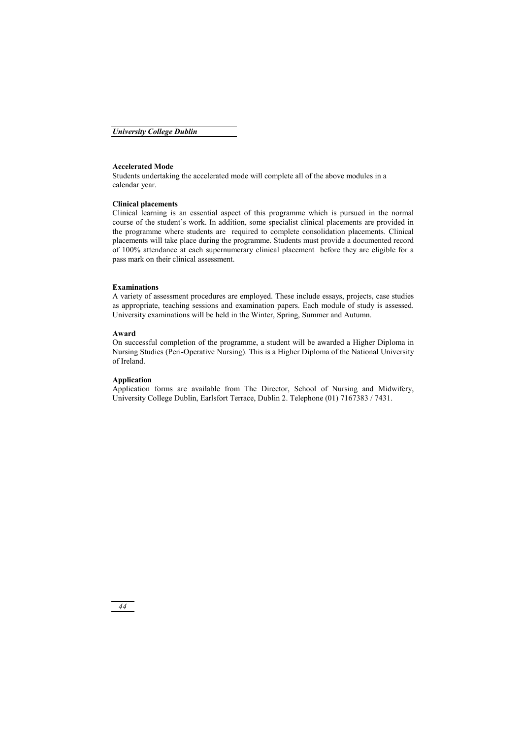### **Accelerated Mode**

Students undertaking the accelerated mode will complete all of the above modules in a calendar year.

#### **Clinical placements**

Clinical learning is an essential aspect of this programme which is pursued in the normal course of the student's work. In addition, some specialist clinical placements are provided in the programme where students are required to complete consolidation placements. Clinical placements will take place during the programme. Students must provide a documented record of 100% attendance at each supernumerary clinical placement before they are eligible for a pass mark on their clinical assessment.

#### **Examinations**

A variety of assessment procedures are employed. These include essays, projects, case studies as appropriate, teaching sessions and examination papers. Each module of study is assessed. University examinations will be held in the Winter, Spring, Summer and Autumn.

#### **Award**

On successful completion of the programme, a student will be awarded a Higher Diploma in Nursing Studies (Peri-Operative Nursing). This is a Higher Diploma of the National University of Ireland.

### **Application**

Application forms are available from The Director, School of Nursing and Midwifery, University College Dublin, Earlsfort Terrace, Dublin 2. Telephone (01) 7167383 / 7431.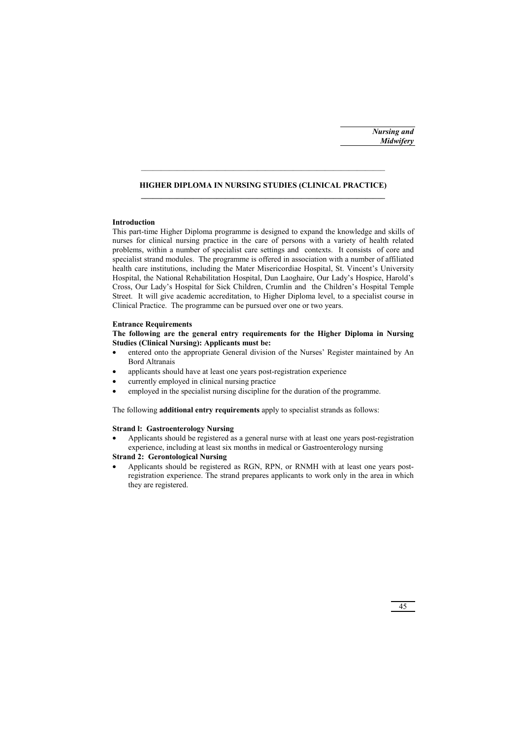### **HIGHER DIPLOMA IN NURSING STUDIES (CLINICAL PRACTICE)**

### **Introduction**

This part-time Higher Diploma programme is designed to expand the knowledge and skills of nurses for clinical nursing practice in the care of persons with a variety of health related problems, within a number of specialist care settings and contexts. It consists of core and specialist strand modules. The programme is offered in association with a number of affiliated health care institutions, including the Mater Misericordiae Hospital, St. Vincent's University Hospital, the National Rehabilitation Hospital, Dun Laoghaire, Our Lady's Hospice, Harold's Cross, Our Lady's Hospital for Sick Children, Crumlin and the Children's Hospital Temple Street. It will give academic accreditation, to Higher Diploma level, to a specialist course in Clinical Practice. The programme can be pursued over one or two years.

### **Entrance Requirements**

### **The following are the general entry requirements for the Higher Diploma in Nursing Studies (Clinical Nursing): Applicants must be:**

- entered onto the appropriate General division of the Nurses' Register maintained by An Bord Altranais
- applicants should have at least one years post-registration experience
- currently employed in clinical nursing practice
- employed in the specialist nursing discipline for the duration of the programme.

The following **additional entry requirements** apply to specialist strands as follows:

### **Strand l: Gastroenterology Nursing**

• Applicants should be registered as a general nurse with at least one years post-registration experience, including at least six months in medical or Gastroenterology nursing

### **Strand 2: Gerontological Nursing**

• Applicants should be registered as RGN, RPN, or RNMH with at least one years postregistration experience. The strand prepares applicants to work only in the area in which they are registered.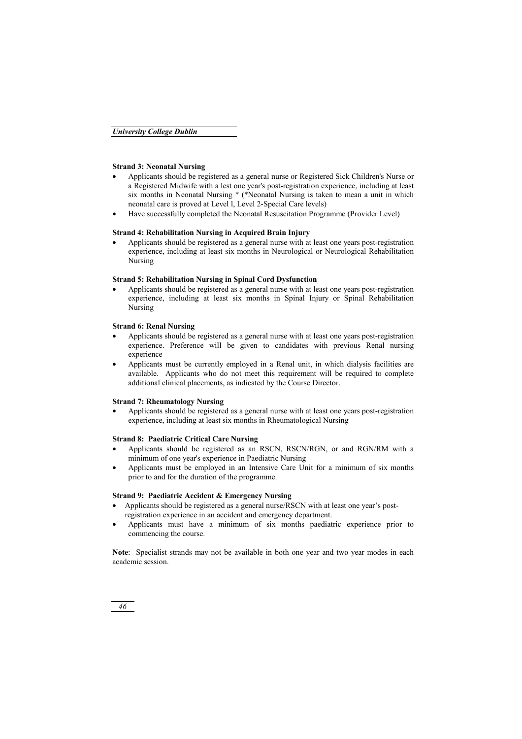### **Strand 3: Neonatal Nursing**

- Applicants should be registered as a general nurse or Registered Sick Children's Nurse or a Registered Midwife with a lest one year's post-registration experience, including at least six months in Neonatal Nursing \* (\*Neonatal Nursing is taken to mean a unit in which neonatal care is proved at Level l, Level 2-Special Care levels)
- Have successfully completed the Neonatal Resuscitation Programme (Provider Level)

### **Strand 4: Rehabilitation Nursing in Acquired Brain Injury**

• Applicants should be registered as a general nurse with at least one years post-registration experience, including at least six months in Neurological or Neurological Rehabilitation Nursing

### **Strand 5: Rehabilitation Nursing in Spinal Cord Dysfunction**

• Applicants should be registered as a general nurse with at least one years post-registration experience, including at least six months in Spinal Injury or Spinal Rehabilitation Nursing

### **Strand 6: Renal Nursing**

- Applicants should be registered as a general nurse with at least one years post-registration experience. Preference will be given to candidates with previous Renal nursing experience
- Applicants must be currently employed in a Renal unit, in which dialysis facilities are available. Applicants who do not meet this requirement will be required to complete additional clinical placements, as indicated by the Course Director.

### **Strand 7: Rheumatology Nursing**

• Applicants should be registered as a general nurse with at least one years post-registration experience, including at least six months in Rheumatological Nursing

### **Strand 8: Paediatric Critical Care Nursing**

- Applicants should be registered as an RSCN, RSCN/RGN, or and RGN/RM with a minimum of one year's experience in Paediatric Nursing
- Applicants must be employed in an Intensive Care Unit for a minimum of six months prior to and for the duration of the programme.

### **Strand 9: Paediatric Accident & Emergency Nursing**

- Applicants should be registered as a general nurse/RSCN with at least one year's postregistration experience in an accident and emergency department.
- Applicants must have a minimum of six months paediatric experience prior to commencing the course.

**Note**: Specialist strands may not be available in both one year and two year modes in each academic session.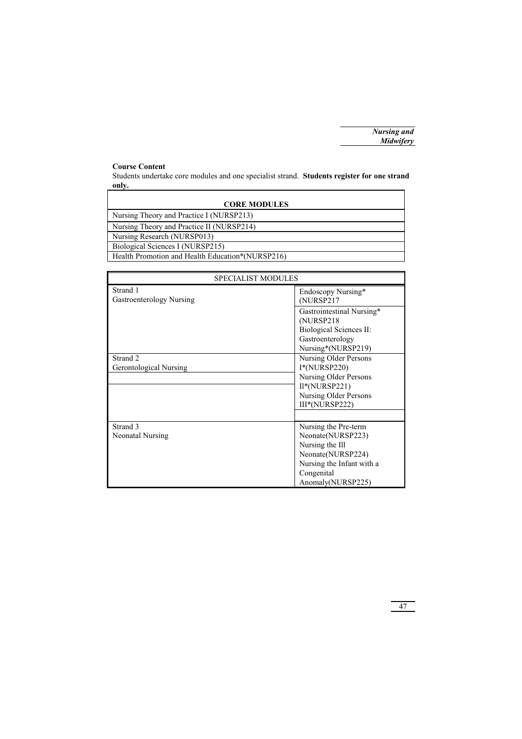### **Course Content**

Students undertake core modules and one specialist strand. **Students register for one strand only.** 

| <b>CORE MODULES</b>                              |
|--------------------------------------------------|
| Nursing Theory and Practice I (NURSP213)         |
| Nursing Theory and Practice II (NURSP214)        |
| Nursing Research (NURSP013)                      |
| Biological Sciences I (NURSP215)                 |
| Health Promotion and Health Education*(NURSP216) |

| <b>SPECIALIST MODULES</b>            |                                                                                                                                                   |
|--------------------------------------|---------------------------------------------------------------------------------------------------------------------------------------------------|
| Strand 1<br>Gastroenterology Nursing | Endoscopy Nursing*<br>(NURSP217                                                                                                                   |
|                                      | Gastrointestinal Nursing*<br>(NURSP218)<br>Biological Sciences II:<br>Gastroenterology<br>Nursing*(NURSP219)                                      |
| Strand 2<br>Gerontological Nursing   | Nursing Older Persons<br>$I^*(NURSP220)$<br>Nursing Older Persons                                                                                 |
|                                      | $II*(NURSP221)$<br>Nursing Older Persons<br>III*(NURSP222)                                                                                        |
| Strand 3<br>Neonatal Nursing         | Nursing the Pre-term<br>Neonate(NURSP223)<br>Nursing the Ill<br>Neonate(NURSP224)<br>Nursing the Infant with a<br>Congenital<br>Anomaly(NURSP225) |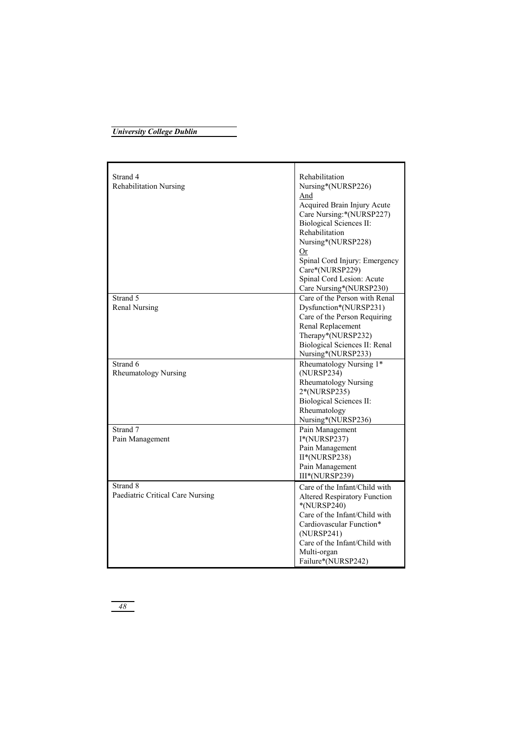| Strand 4                         | Rehabilitation                      |
|----------------------------------|-------------------------------------|
| <b>Rehabilitation Nursing</b>    | Nursing*(NURSP226)                  |
|                                  | And                                 |
|                                  | Acquired Brain Injury Acute         |
|                                  | Care Nursing:*(NURSP227)            |
|                                  | <b>Biological Sciences II:</b>      |
|                                  | Rehabilitation                      |
|                                  | Nursing*(NURSP228)                  |
|                                  | <b>Or</b>                           |
|                                  | Spinal Cord Injury: Emergency       |
|                                  | Care*(NURSP229)                     |
|                                  | Spinal Cord Lesion: Acute           |
|                                  | Care Nursing*(NURSP230)             |
| Strand 5                         | Care of the Person with Renal       |
| <b>Renal Nursing</b>             | Dysfunction*(NURSP231)              |
|                                  | Care of the Person Requiring        |
|                                  | Renal Replacement                   |
|                                  | Therapy*(NURSP232)                  |
|                                  | Biological Sciences II: Renal       |
|                                  | Nursing*(NURSP233)                  |
| Strand 6                         | Rheumatology Nursing 1*             |
| <b>Rheumatology Nursing</b>      | (NURSP234)                          |
|                                  | <b>Rheumatology Nursing</b>         |
|                                  | 2*(NURSP235)                        |
|                                  | <b>Biological Sciences II:</b>      |
|                                  | Rheumatology                        |
|                                  | Nursing*(NURSP236)                  |
| Strand 7                         | Pain Management                     |
| Pain Management                  | $I^*(NURSP237)$                     |
|                                  | Pain Management                     |
|                                  | II*(NURSP238)                       |
|                                  | Pain Management                     |
|                                  | III*(NURSP239)                      |
| Strand 8                         | Care of the Infant/Child with       |
| Paediatric Critical Care Nursing | <b>Altered Respiratory Function</b> |
|                                  | *(NURSP240)                         |
|                                  | Care of the Infant/Child with       |
|                                  | Cardiovascular Function*            |
|                                  | (NURSP241)                          |
|                                  | Care of the Infant/Child with       |
|                                  | Multi-organ                         |
|                                  | Failure*(NURSP242)                  |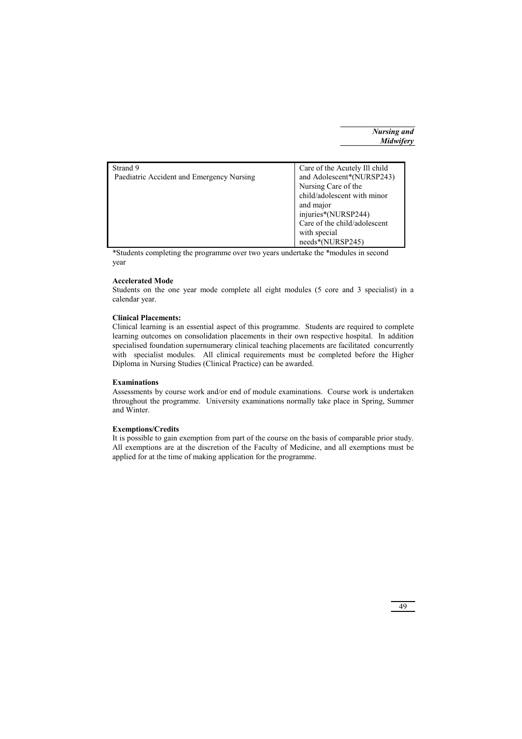| Strand 9                                  | Care of the Acutely Ill child |
|-------------------------------------------|-------------------------------|
| Paediatric Accident and Emergency Nursing | and Adolescent*(NURSP243)     |
|                                           | Nursing Care of the           |
|                                           | child/adolescent with minor   |
|                                           | and major                     |
|                                           | injuries*(NURSP244)           |
|                                           | Care of the child/adolescent  |
|                                           | with special                  |
|                                           | needs*(NURSP245)              |

\*Students completing the programme over two years undertake the \*modules in second year

### **Accelerated Mode**

Students on the one year mode complete all eight modules (5 core and 3 specialist) in a calendar year.

### **Clinical Placements:**

Clinical learning is an essential aspect of this programme. Students are required to complete learning outcomes on consolidation placements in their own respective hospital. In addition specialised foundation supernumerary clinical teaching placements are facilitated concurrently with specialist modules. All clinical requirements must be completed before the Higher Diploma in Nursing Studies (Clinical Practice) can be awarded.

### **Examinations**

Assessments by course work and/or end of module examinations. Course work is undertaken throughout the programme. University examinations normally take place in Spring, Summer and Winter.

### **Exemptions/Credits**

It is possible to gain exemption from part of the course on the basis of comparable prior study. All exemptions are at the discretion of the Faculty of Medicine, and all exemptions must be applied for at the time of making application for the programme.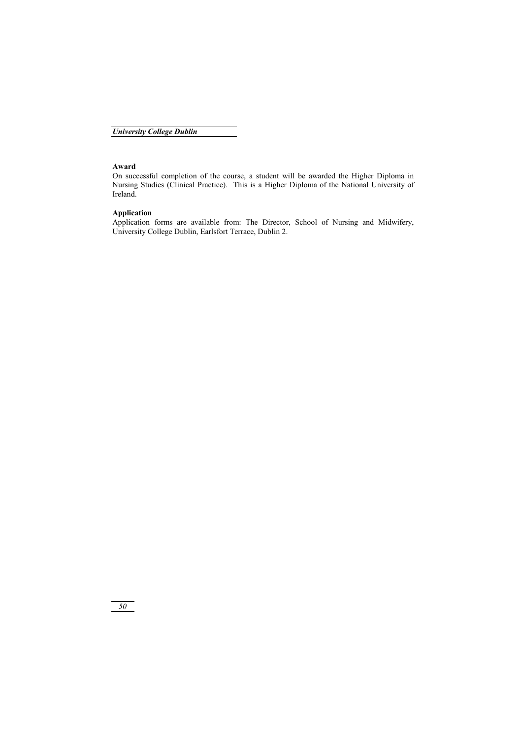### **Award**

On successful completion of the course, a student will be awarded the Higher Diploma in Nursing Studies (Clinical Practice). This is a Higher Diploma of the National University of Ireland.

### **Application**

Application forms are available from: The Director, School of Nursing and Midwifery, University College Dublin, Earlsfort Terrace, Dublin 2.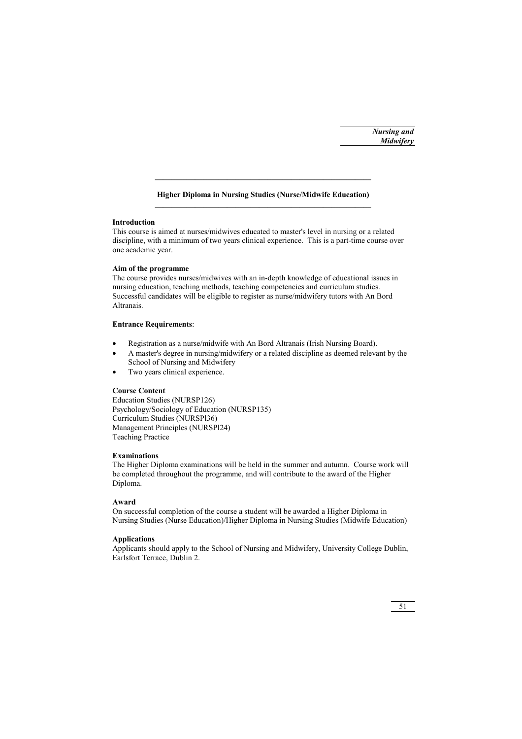### **Higher Diploma in Nursing Studies (Nurse/Midwife Education)**

**\_\_\_\_\_\_\_\_\_\_\_\_\_\_\_\_\_\_\_\_\_\_\_\_\_\_\_\_\_\_\_\_\_\_\_\_\_\_\_\_\_\_\_\_\_\_\_\_\_\_\_\_\_\_** 

### **Introduction**

This course is aimed at nurses/midwives educated to master's level in nursing or a related discipline, with a minimum of two years clinical experience. This is a part-time course over one academic year.

### **Aim of the programme**

The course provides nurses/midwives with an in-depth knowledge of educational issues in nursing education, teaching methods, teaching competencies and curriculum studies. Successful candidates will be eligible to register as nurse/midwifery tutors with An Bord Altranais.

### **Entrance Requirements**:

- Registration as a nurse/midwife with An Bord Altranais (Irish Nursing Board).
- A master's degree in nursing/midwifery or a related discipline as deemed relevant by the School of Nursing and Midwifery
- Two years clinical experience.

### **Course Content**

Education Studies (NURSP126) Psychology/Sociology of Education (NURSP135) Curriculum Studies (NURSPl36) Management Principles (NURSPl24) Teaching Practice

### **Examinations**

The Higher Diploma examinations will be held in the summer and autumn. Course work will be completed throughout the programme, and will contribute to the award of the Higher Diploma.

### **Award**

On successful completion of the course a student will be awarded a Higher Diploma in Nursing Studies (Nurse Education)/Higher Diploma in Nursing Studies (Midwife Education)

### **Applications**

Applicants should apply to the School of Nursing and Midwifery, University College Dublin, Earlsfort Terrace, Dublin 2.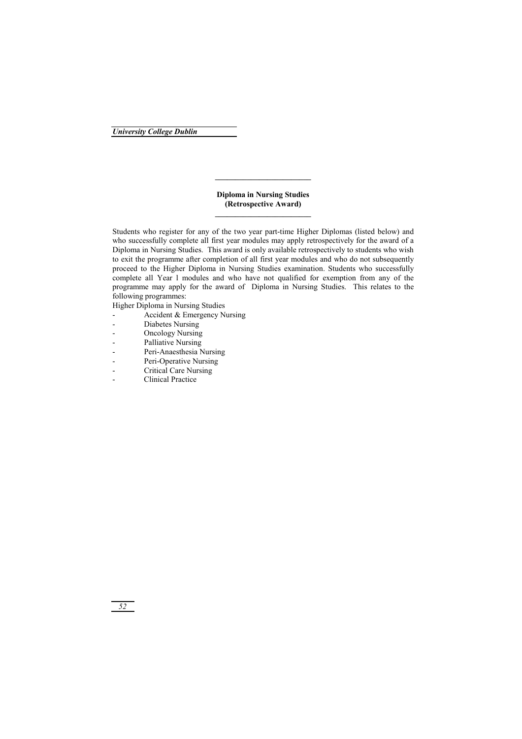**Diploma in Nursing Studies (Retrospective Award)** 

**\_\_\_\_\_\_\_\_\_\_\_\_\_\_\_\_\_\_\_\_\_\_\_\_** 

Students who register for any of the two year part-time Higher Diplomas (listed below) and who successfully complete all first year modules may apply retrospectively for the award of a Diploma in Nursing Studies. This award is only available retrospectively to students who wish to exit the programme after completion of all first year modules and who do not subsequently proceed to the Higher Diploma in Nursing Studies examination. Students who successfully complete all Year l modules and who have not qualified for exemption from any of the programme may apply for the award of Diploma in Nursing Studies. This relates to the following programmes:

Higher Diploma in Nursing Studies

- Accident & Emergency Nursing
- Diabetes Nursing
- Oncology Nursing
- Palliative Nursing
- Peri-Anaesthesia Nursing
- Peri-Operative Nursing
- Critical Care Nursing
- Clinical Practice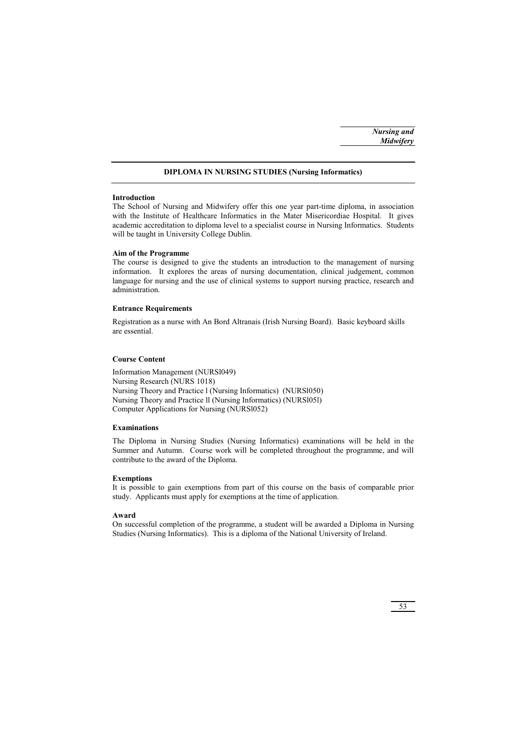### **DIPLOMA IN NURSING STUDIES (Nursing Informatics)**

### **Introduction**

The School of Nursing and Midwifery offer this one year part-time diploma, in association with the Institute of Healthcare Informatics in the Mater Misericordiae Hospital. It gives academic accreditation to diploma level to a specialist course in Nursing Informatics. Students will be taught in University College Dublin.

### **Aim of the Programme**

The course is designed to give the students an introduction to the management of nursing information. It explores the areas of nursing documentation, clinical judgement, common language for nursing and the use of clinical systems to support nursing practice, research and administration.

### **Entrance Requirements**

Registration as a nurse with An Bord Altranais (Irish Nursing Board). Basic keyboard skills are essential.

### **Course Content**

Information Management (NURSl049) Nursing Research (NURS 1018) Nursing Theory and Practice l (Nursing Informatics) (NURSl050) Nursing Theory and Practice ll (Nursing Informatics) (NURSl05l) Computer Applications for Nursing (NURSl052)

### **Examinations**

The Diploma in Nursing Studies (Nursing Informatics) examinations will be held in the Summer and Autumn. Course work will be completed throughout the programme, and will contribute to the award of the Diploma.

### **Exemptions**

It is possible to gain exemptions from part of this course on the basis of comparable prior study. Applicants must apply for exemptions at the time of application.

### **Award**

On successful completion of the programme, a student will be awarded a Diploma in Nursing Studies (Nursing Informatics). This is a diploma of the National University of Ireland.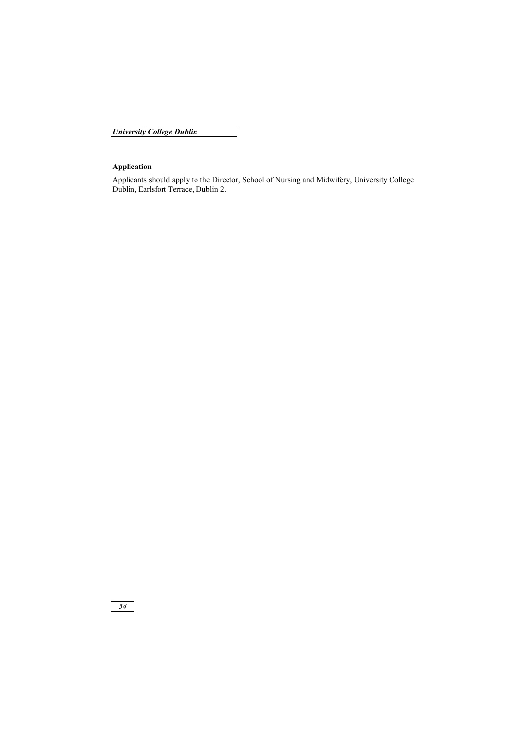### **Application**

Applicants should apply to the Director, School of Nursing and Midwifery, University College Dublin, Earlsfort Terrace, Dublin 2.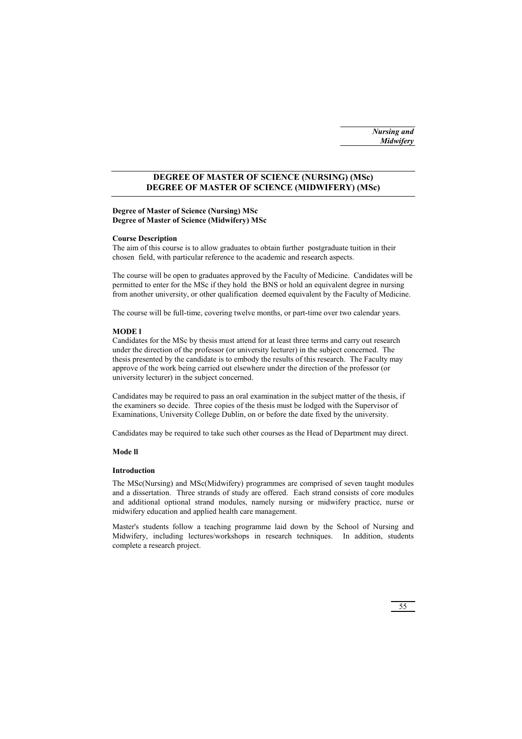### **DEGREE OF MASTER OF SCIENCE (NURSING) (MSc) DEGREE OF MASTER OF SCIENCE (MIDWIFERY) (MSc)**

### **Degree of Master of Science (Nursing) MSc Degree of Master of Science (Midwifery) MSc**

### **Course Description**

The aim of this course is to allow graduates to obtain further postgraduate tuition in their chosen field, with particular reference to the academic and research aspects.

The course will be open to graduates approved by the Faculty of Medicine. Candidates will be permitted to enter for the MSc if they hold the BNS or hold an equivalent degree in nursing from another university, or other qualification deemed equivalent by the Faculty of Medicine.

The course will be full-time, covering twelve months, or part-time over two calendar years.

### **MODE l**

Candidates for the MSc by thesis must attend for at least three terms and carry out research under the direction of the professor (or university lecturer) in the subject concerned. The thesis presented by the candidate is to embody the results of this research. The Faculty may approve of the work being carried out elsewhere under the direction of the professor (or university lecturer) in the subject concerned.

Candidates may be required to pass an oral examination in the subject matter of the thesis, if the examiners so decide. Three copies of the thesis must be lodged with the Supervisor of Examinations, University College Dublin, on or before the date fixed by the university.

Candidates may be required to take such other courses as the Head of Department may direct.

### **Mode ll**

### **Introduction**

The MSc(Nursing) and MSc(Midwifery) programmes are comprised of seven taught modules and a dissertation. Three strands of study are offered. Each strand consists of core modules and additional optional strand modules, namely nursing or midwifery practice, nurse or midwifery education and applied health care management.

Master's students follow a teaching programme laid down by the School of Nursing and Midwifery, including lectures/workshops in research techniques. In addition, students complete a research project.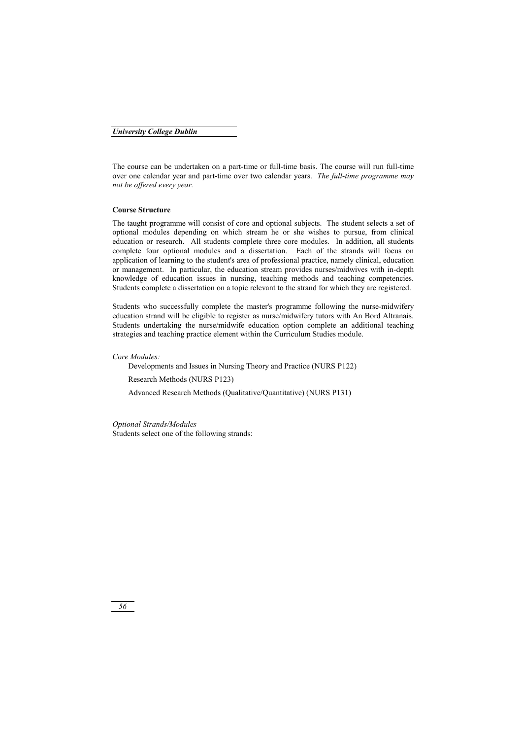The course can be undertaken on a part-time or full-time basis. The course will run full-time over one calendar year and part-time over two calendar years. *The full-time programme may not be offered every year.*

### **Course Structure**

The taught programme will consist of core and optional subjects. The student selects a set of optional modules depending on which stream he or she wishes to pursue, from clinical education or research. All students complete three core modules. In addition, all students complete four optional modules and a dissertation. Each of the strands will focus on application of learning to the student's area of professional practice, namely clinical, education or management. In particular, the education stream provides nurses/midwives with in-depth knowledge of education issues in nursing, teaching methods and teaching competencies. Students complete a dissertation on a topic relevant to the strand for which they are registered.

Students who successfully complete the master's programme following the nurse-midwifery education strand will be eligible to register as nurse/midwifery tutors with An Bord Altranais. Students undertaking the nurse/midwife education option complete an additional teaching strategies and teaching practice element within the Curriculum Studies module.

*Core Modules:* 

Developments and Issues in Nursing Theory and Practice (NURS P122)

Research Methods (NURS P123)

Advanced Research Methods (Qualitative/Quantitative) (NURS P131)

*Optional Strands/Modules*  Students select one of the following strands: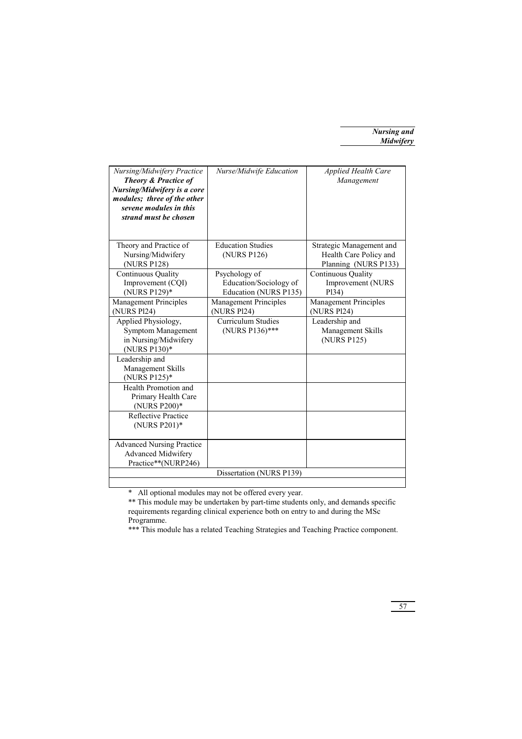| Nursing/Midwifery Practice<br><b>Theory &amp; Practice of</b><br>Nursing/Midwifery is a core<br>modules; three of the other<br>sevene modules in this<br>strand must be chosen | Nurse/Midwife Education                                          | <b>Applied Health Care</b><br>Management                                   |
|--------------------------------------------------------------------------------------------------------------------------------------------------------------------------------|------------------------------------------------------------------|----------------------------------------------------------------------------|
| Theory and Practice of<br>Nursing/Midwifery<br>(NURS P128)                                                                                                                     | <b>Education Studies</b><br>(NURS P126)                          | Strategic Management and<br>Health Care Policy and<br>Planning (NURS P133) |
| Continuous Quality<br>Improvement (COI)<br>(NURS P129)*                                                                                                                        | Psychology of<br>Education/Sociology of<br>Education (NURS P135) | Continuous Quality<br>Improvement (NURS<br>P <sub>134</sub> )              |
| <b>Management Principles</b><br>(NURS Pl24)                                                                                                                                    | <b>Management Principles</b><br>(NURS Pl24)                      | Management Principles<br>(NURS Pl24)                                       |
| Applied Physiology,<br><b>Symptom Management</b><br>in Nursing/Midwifery<br>(NURS P130)*                                                                                       | <b>Curriculum Studies</b><br>(NURS P136)***                      | Leadership and<br>Management Skills<br>(NURS P125)                         |
| Leadership and<br>Management Skills<br>(NURS P125)*                                                                                                                            |                                                                  |                                                                            |
| Health Promotion and<br>Primary Health Care<br>(NURS P200)*                                                                                                                    |                                                                  |                                                                            |
| Reflective Practice<br>(NURS P201)*                                                                                                                                            |                                                                  |                                                                            |
| <b>Advanced Nursing Practice</b><br>Advanced Midwifery<br>Practice**(NURP246)                                                                                                  |                                                                  |                                                                            |
|                                                                                                                                                                                | Dissertation (NURS P139)                                         |                                                                            |

\* All optional modules may not be offered every year.

\*\* This module may be undertaken by part-time students only, and demands specific requirements regarding clinical experience both on entry to and during the MSc Programme.

\*\*\* This module has a related Teaching Strategies and Teaching Practice component.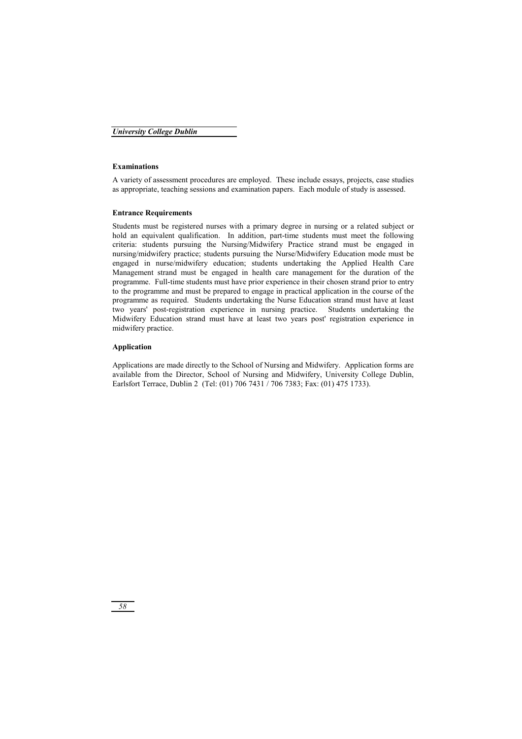### **Examinations**

A variety of assessment procedures are employed. These include essays, projects, case studies as appropriate, teaching sessions and examination papers. Each module of study is assessed.

### **Entrance Requirements**

Students must be registered nurses with a primary degree in nursing or a related subject or hold an equivalent qualification. In addition, part-time students must meet the following criteria: students pursuing the Nursing/Midwifery Practice strand must be engaged in nursing/midwifery practice; students pursuing the Nurse/Midwifery Education mode must be engaged in nurse/midwifery education; students undertaking the Applied Health Care Management strand must be engaged in health care management for the duration of the programme. Full-time students must have prior experience in their chosen strand prior to entry to the programme and must be prepared to engage in practical application in the course of the programme as required. Students undertaking the Nurse Education strand must have at least two years' post-registration experience in nursing practice. Students undertaking the Midwifery Education strand must have at least two years post' registration experience in midwifery practice.

### **Application**

Applications are made directly to the School of Nursing and Midwifery. Application forms are available from the Director, School of Nursing and Midwifery, University College Dublin, Earlsfort Terrace, Dublin 2 (Tel: (01) 706 7431 / 706 7383; Fax: (01) 475 1733).